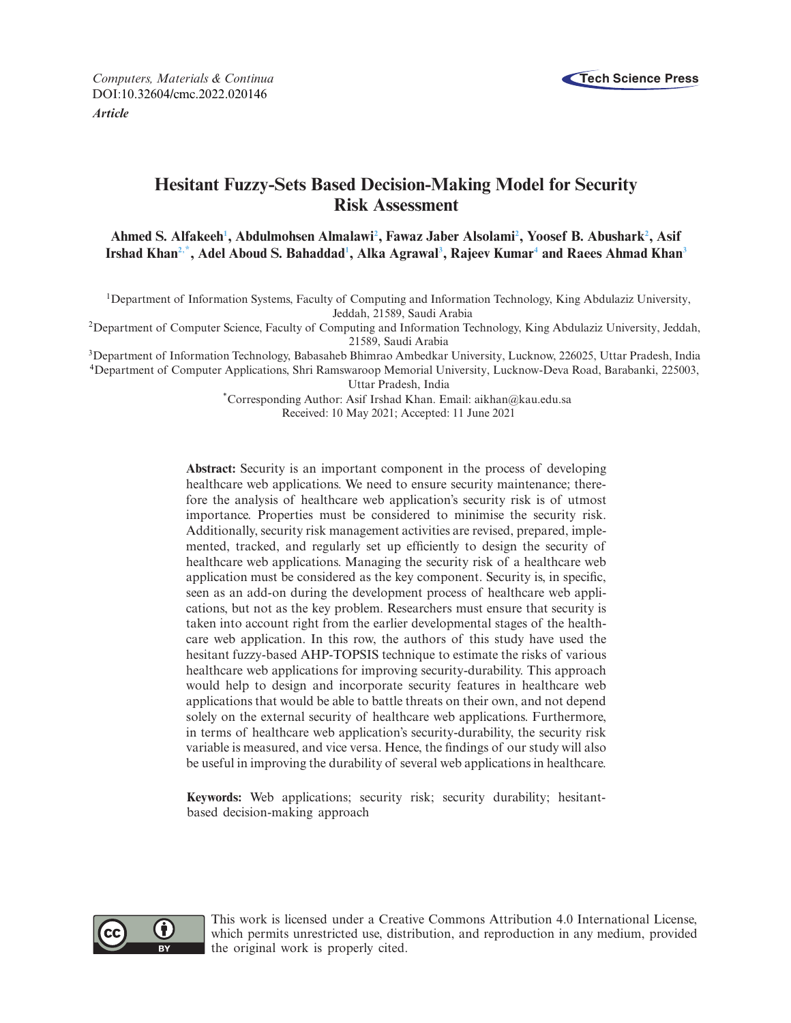

*Computers, Materials & Continua* **Tech Science Press** DOI[:10.32604/cmc.2022.020146](http://dx.doi.org/10.32604/cmc.2022.020146) *Article*

# **Hesitant Fuzzy-Sets Based Decision-Making Model for Security Risk Assessment**

**Ahmed S. Alfakee[h1](#page-0-0) , Abdulmohsen Almalaw[i2](#page-0-1) , Fawaz Jaber Alsolam[i2](#page-0-1) , Yoosef B. Abushar[k2](#page-0-1) , Asif**  $I$ rshad Khan<sup>2,\*</sup>, Adel Aboud S. Bahaddad<sup>1</sup>, Alka Agrawal<sup>3</sup>, Rajeev Kumar<sup>4</sup> and Raees Ahmad Khan<sup>3</sup>

<span id="page-0-0"></span>1Department of Information Systems, Faculty of Computing and Information Technology, King Abdulaziz University, Jeddah, 21589, Saudi Arabia

<span id="page-0-1"></span>2Department of Computer Science, Faculty of Computing and Information Technology, King Abdulaziz University, Jeddah, 21589, Saudi Arabia

<span id="page-0-4"></span><span id="page-0-3"></span>3Department of Information Technology, Babasaheb Bhimrao Ambedkar University, Lucknow, 226025, Uttar Pradesh, India 4Department of Computer Applications, Shri Ramswaroop Memorial University, Lucknow-Deva Road, Barabanki, 225003,

Uttar Pradesh, India

<span id="page-0-2"></span>\*Corresponding Author: Asif Irshad Khan. Email: aikhan@kau.edu.sa Received: 10 May 2021; Accepted: 11 June 2021

**Abstract:** Security is an important component in the process of developing healthcare web applications. We need to ensure security maintenance; therefore the analysis of healthcare web application's security risk is of utmost importance. Properties must be considered to minimise the security risk. Additionally, security risk management activities are revised, prepared, implemented, tracked, and regularly set up efficiently to design the security of healthcare web applications. Managing the security risk of a healthcare web application must be considered as the key component. Security is, in specific, seen as an add-on during the development process of healthcare web applications, but not as the key problem. Researchers must ensure that security is taken into account right from the earlier developmental stages of the healthcare web application. In this row, the authors of this study have used the hesitant fuzzy-based AHP-TOPSIS technique to estimate the risks of various healthcare web applications for improving security-durability. This approach would help to design and incorporate security features in healthcare web applications that would be able to battle threats on their own, and not depend solely on the external security of healthcare web applications. Furthermore, in terms of healthcare web application's security-durability, the security risk variable is measured, and vice versa. Hence, the findings of our study will also be useful in improving the durability of several web applications in healthcare.

**Keywords:** Web applications; security risk; security durability; hesitantbased decision-making approach



This work is licensed under a Creative Commons Attribution 4.0 International License, which permits unrestricted use, distribution, and reproduction in any medium, provided the original work is properly cited.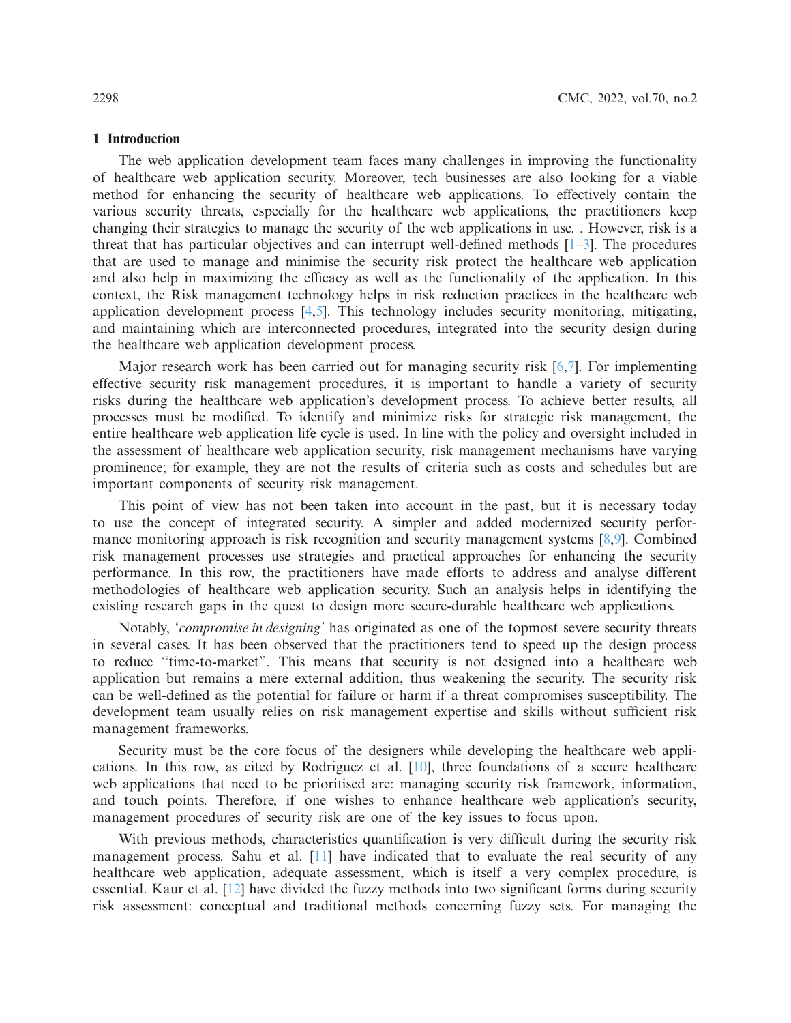#### **1 Introduction**

The web application development team faces many challenges in improving the functionality of healthcare web application security. Moreover, tech businesses are also looking for a viable method for enhancing the security of healthcare web applications. To effectively contain the various security threats, especially for the healthcare web applications, the practitioners keep changing their strategies to manage the security of the web applications in use. . However, risk is a threat that has particular objectives and can interrupt well-defined methods  $[1-3]$  $[1-3]$ . The procedures that are used to manage and minimise the security risk protect the healthcare web application and also help in maximizing the efficacy as well as the functionality of the application. In this context, the Risk management technology helps in risk reduction practices in the healthcare web application development process [\[4](#page-20-1)[,5](#page-20-2)]. This technology includes security monitoring, mitigating, and maintaining which are interconnected procedures, integrated into the security design during the healthcare web application development process.

Major research work has been carried out for managing security risk [\[6](#page-20-3)[,7\]](#page-20-4). For implementing effective security risk management procedures, it is important to handle a variety of security risks during the healthcare web application's development process. To achieve better results, all processes must be modified. To identify and minimize risks for strategic risk management, the entire healthcare web application life cycle is used. In line with the policy and oversight included in the assessment of healthcare web application security, risk management mechanisms have varying prominence; for example, they are not the results of criteria such as costs and schedules but are important components of security risk management.

This point of view has not been taken into account in the past, but it is necessary today to use the concept of integrated security. A simpler and added modernized security performance monitoring approach is risk recognition and security management systems  $[8,9]$  $[8,9]$ . Combined risk management processes use strategies and practical approaches for enhancing the security performance. In this row, the practitioners have made efforts to address and analyse different methodologies of healthcare web application security. Such an analysis helps in identifying the existing research gaps in the quest to design more secure-durable healthcare web applications.

Notably, '*compromise in designing'* has originated as one of the topmost severe security threats in several cases. It has been observed that the practitioners tend to speed up the design process to reduce "time-to-market". This means that security is not designed into a healthcare web application but remains a mere external addition, thus weakening the security. The security risk can be well-defined as the potential for failure or harm if a threat compromises susceptibility. The development team usually relies on risk management expertise and skills without sufficient risk management frameworks.

Security must be the core focus of the designers while developing the healthcare web applications. In this row, as cited by Rodriguez et al. [\[10\]](#page-20-7), three foundations of a secure healthcare web applications that need to be prioritised are: managing security risk framework, information, and touch points. Therefore, if one wishes to enhance healthcare web application's security, management procedures of security risk are one of the key issues to focus upon.

With previous methods, characteristics quantification is very difficult during the security risk management process. Sahu et al. [\[11](#page-20-8)] have indicated that to evaluate the real security of any healthcare web application, adequate assessment, which is itself a very complex procedure, is essential. Kaur et al. [\[12\]](#page-20-9) have divided the fuzzy methods into two significant forms during security risk assessment: conceptual and traditional methods concerning fuzzy sets. For managing the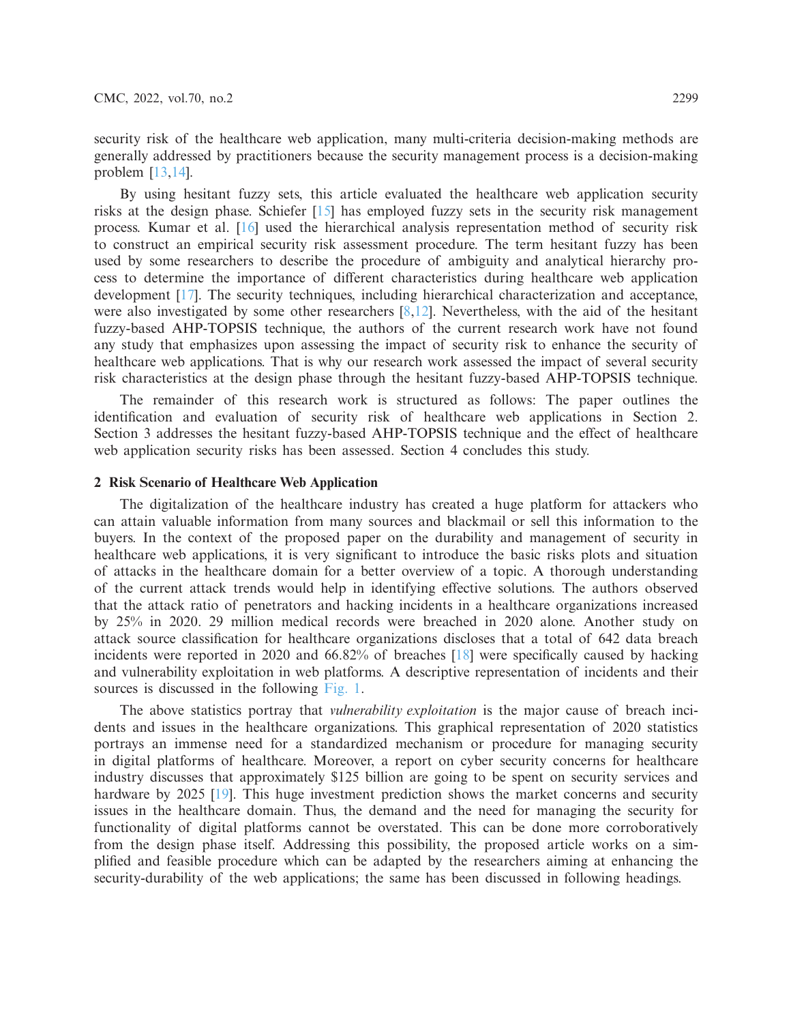security risk of the healthcare web application, many multi-criteria decision-making methods are generally addressed by practitioners because the security management process is a decision-making problem [\[13](#page-20-10)[,14\]](#page-20-11).

By using hesitant fuzzy sets, this article evaluated the healthcare web application security risks at the design phase. Schiefer [\[15](#page-20-12)] has employed fuzzy sets in the security risk management process. Kumar et al. [\[16](#page-20-13)] used the hierarchical analysis representation method of security risk to construct an empirical security risk assessment procedure. The term hesitant fuzzy has been used by some researchers to describe the procedure of ambiguity and analytical hierarchy process to determine the importance of different characteristics during healthcare web application development [\[17\]](#page-20-14). The security techniques, including hierarchical characterization and acceptance, were also investigated by some other researchers  $[8,12]$  $[8,12]$ . Nevertheless, with the aid of the hesitant fuzzy-based AHP-TOPSIS technique, the authors of the current research work have not found any study that emphasizes upon assessing the impact of security risk to enhance the security of healthcare web applications. That is why our research work assessed the impact of several security risk characteristics at the design phase through the hesitant fuzzy-based AHP-TOPSIS technique.

The remainder of this research work is structured as follows: The paper outlines the identification and evaluation of security risk of healthcare web applications in Section 2. Section 3 addresses the hesitant fuzzy-based AHP-TOPSIS technique and the effect of healthcare web application security risks has been assessed. Section 4 concludes this study.

### **2 Risk Scenario of Healthcare Web Application**

The digitalization of the healthcare industry has created a huge platform for attackers who can attain valuable information from many sources and blackmail or sell this information to the buyers. In the context of the proposed paper on the durability and management of security in healthcare web applications, it is very significant to introduce the basic risks plots and situation of attacks in the healthcare domain for a better overview of a topic. A thorough understanding of the current attack trends would help in identifying effective solutions. The authors observed that the attack ratio of penetrators and hacking incidents in a healthcare organizations increased by 25% in 2020. 29 million medical records were breached in 2020 alone. Another study on attack source classification for healthcare organizations discloses that a total of 642 data breach incidents were reported in 2020 and 66.82% of breaches [\[18\]](#page-20-15) were specifically caused by hacking and vulnerability exploitation in web platforms. A descriptive representation of incidents and their sources is discussed in the following [Fig. 1.](#page-3-0)

The above statistics portray that *vulnerability exploitation* is the major cause of breach incidents and issues in the healthcare organizations. This graphical representation of 2020 statistics portrays an immense need for a standardized mechanism or procedure for managing security in digital platforms of healthcare. Moreover, a report on cyber security concerns for healthcare industry discusses that approximately \$125 billion are going to be spent on security services and hardware by 2025 [\[19](#page-20-16)]. This huge investment prediction shows the market concerns and security issues in the healthcare domain. Thus, the demand and the need for managing the security for functionality of digital platforms cannot be overstated. This can be done more corroboratively from the design phase itself. Addressing this possibility, the proposed article works on a simplified and feasible procedure which can be adapted by the researchers aiming at enhancing the security-durability of the web applications; the same has been discussed in following headings.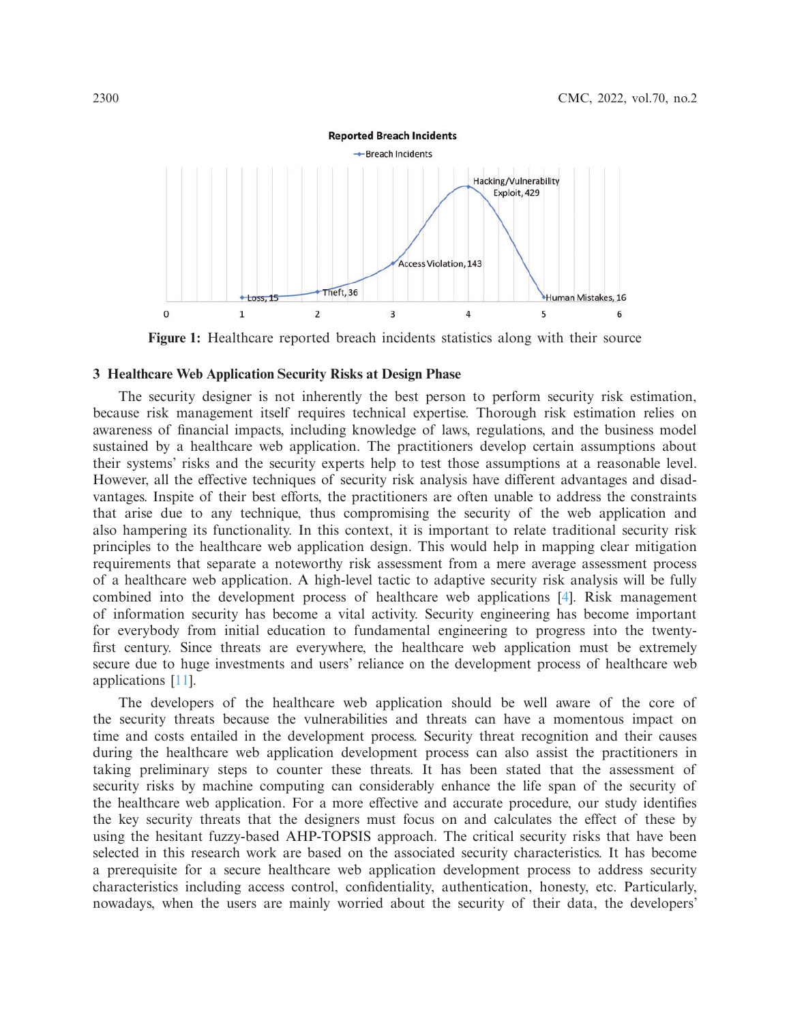

<span id="page-3-0"></span>**Figure 1:** Healthcare reported breach incidents statistics along with their source

#### **3 Healthcare Web Application Security Risks at Design Phase**

The security designer is not inherently the best person to perform security risk estimation, because risk management itself requires technical expertise. Thorough risk estimation relies on awareness of financial impacts, including knowledge of laws, regulations, and the business model sustained by a healthcare web application. The practitioners develop certain assumptions about their systems' risks and the security experts help to test those assumptions at a reasonable level. However, all the effective techniques of security risk analysis have different advantages and disadvantages. Inspite of their best efforts, the practitioners are often unable to address the constraints that arise due to any technique, thus compromising the security of the web application and also hampering its functionality. In this context, it is important to relate traditional security risk principles to the healthcare web application design. This would help in mapping clear mitigation requirements that separate a noteworthy risk assessment from a mere average assessment process of a healthcare web application. A high-level tactic to adaptive security risk analysis will be fully combined into the development process of healthcare web applications [\[4\]](#page-20-1). Risk management of information security has become a vital activity. Security engineering has become important for everybody from initial education to fundamental engineering to progress into the twentyfirst century. Since threats are everywhere, the healthcare web application must be extremely secure due to huge investments and users' reliance on the development process of healthcare web applications [\[11](#page-20-8)].

The developers of the healthcare web application should be well aware of the core of the security threats because the vulnerabilities and threats can have a momentous impact on time and costs entailed in the development process. Security threat recognition and their causes during the healthcare web application development process can also assist the practitioners in taking preliminary steps to counter these threats. It has been stated that the assessment of security risks by machine computing can considerably enhance the life span of the security of the healthcare web application. For a more effective and accurate procedure, our study identifies the key security threats that the designers must focus on and calculates the effect of these by using the hesitant fuzzy-based AHP-TOPSIS approach. The critical security risks that have been selected in this research work are based on the associated security characteristics. It has become a prerequisite for a secure healthcare web application development process to address security characteristics including access control, confidentiality, authentication, honesty, etc. Particularly, nowadays, when the users are mainly worried about the security of their data, the developers'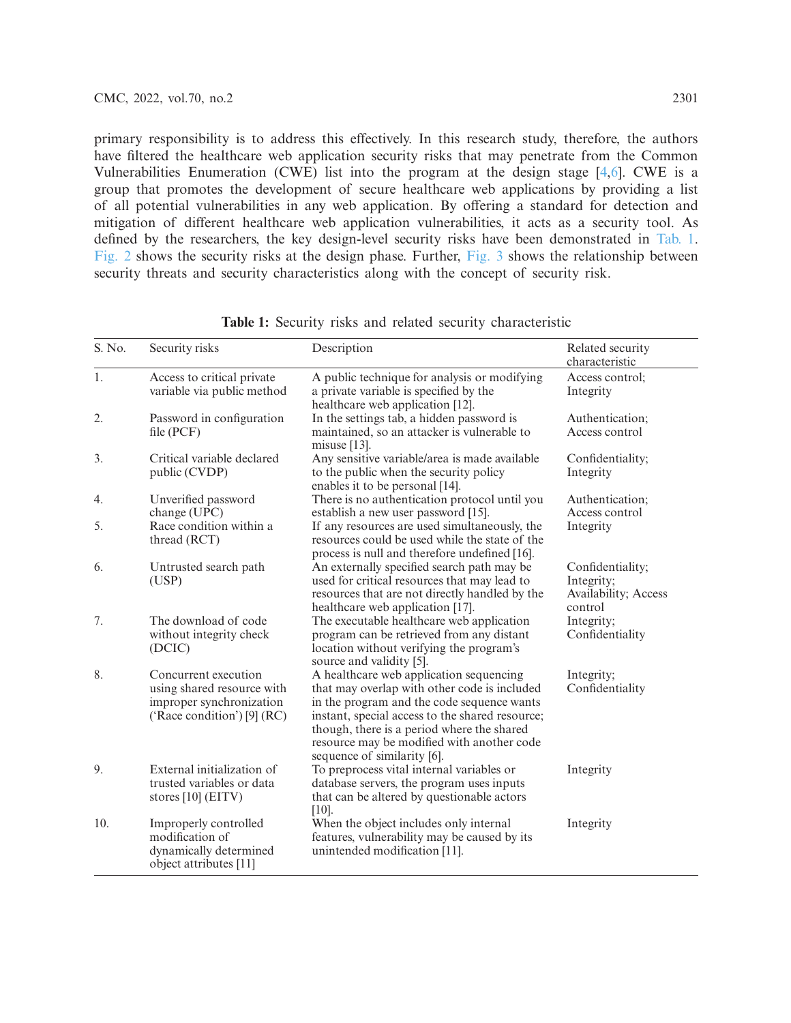primary responsibility is to address this effectively. In this research study, therefore, the authors have filtered the healthcare web application security risks that may penetrate from the Common Vulnerabilities Enumeration (CWE) list into the program at the design stage [\[4](#page-20-1)[,6\]](#page-20-3). CWE is a group that promotes the development of secure healthcare web applications by providing a list of all potential vulnerabilities in any web application. By offering a standard for detection and mitigation of different healthcare web application vulnerabilities, it acts as a security tool. As defined by the researchers, the key design-level security risks have been demonstrated in [Tab. 1.](#page-4-0) [Fig. 2](#page-5-0) shows the security risks at the design phase. Further, [Fig. 3](#page-5-1) shows the relationship between security threats and security characteristics along with the concept of security risk.

<span id="page-4-0"></span>

| S. No. | Security risks                                                                                                | Description                                                                                                                                                                                                                                                                                                         | Related security<br>characteristic                                |
|--------|---------------------------------------------------------------------------------------------------------------|---------------------------------------------------------------------------------------------------------------------------------------------------------------------------------------------------------------------------------------------------------------------------------------------------------------------|-------------------------------------------------------------------|
| 1.     | Access to critical private<br>variable via public method                                                      | A public technique for analysis or modifying<br>a private variable is specified by the<br>healthcare web application [12].                                                                                                                                                                                          | Access control;<br>Integrity                                      |
| 2.     | Password in configuration<br>file (PCF)                                                                       | In the settings tab, a hidden password is<br>maintained, so an attacker is vulnerable to<br>misuse $[13]$ .                                                                                                                                                                                                         | Authentication;<br>Access control                                 |
| 3.     | Critical variable declared<br>public (CVDP)                                                                   | Any sensitive variable/area is made available<br>to the public when the security policy<br>enables it to be personal [14].                                                                                                                                                                                          | Confidentiality;<br>Integrity                                     |
| 4.     | Unverified password<br>change (UPC)                                                                           | There is no authentication protocol until you<br>establish a new user password [15].                                                                                                                                                                                                                                | Authentication:<br>Access control                                 |
| 5.     | Race condition within a<br>thread (RCT)                                                                       | If any resources are used simultaneously, the<br>resources could be used while the state of the<br>process is null and therefore undefined [16].                                                                                                                                                                    | Integrity                                                         |
| 6.     | Untrusted search path<br>(USP)                                                                                | An externally specified search path may be<br>used for critical resources that may lead to<br>resources that are not directly handled by the<br>healthcare web application [17].                                                                                                                                    | Confidentiality;<br>Integrity;<br>Availability; Access<br>control |
| 7.     | The download of code<br>without integrity check<br>(DCIC)                                                     | The executable healthcare web application<br>program can be retrieved from any distant<br>location without verifying the program's<br>source and validity [5].                                                                                                                                                      | Integrity;<br>Confidentiality                                     |
| 8.     | Concurrent execution<br>using shared resource with<br>improper synchronization<br>('Race condition') [9] (RC) | A healthcare web application sequencing<br>that may overlap with other code is included<br>in the program and the code sequence wants<br>instant, special access to the shared resource;<br>though, there is a period where the shared<br>resource may be modified with another code<br>sequence of similarity [6]. | Integrity;<br>Confidentiality                                     |
| 9.     | External initialization of<br>trusted variables or data<br>stores $[10]$ (EITV)                               | To preprocess vital internal variables or<br>database servers, the program uses inputs<br>that can be altered by questionable actors<br>$[10]$ .                                                                                                                                                                    | Integrity                                                         |
| 10.    | Improperly controlled<br>modification of<br>dynamically determined<br>object attributes [11]                  | When the object includes only internal<br>features, vulnerability may be caused by its<br>unintended modification [11].                                                                                                                                                                                             | Integrity                                                         |

**Table 1:** Security risks and related security characteristic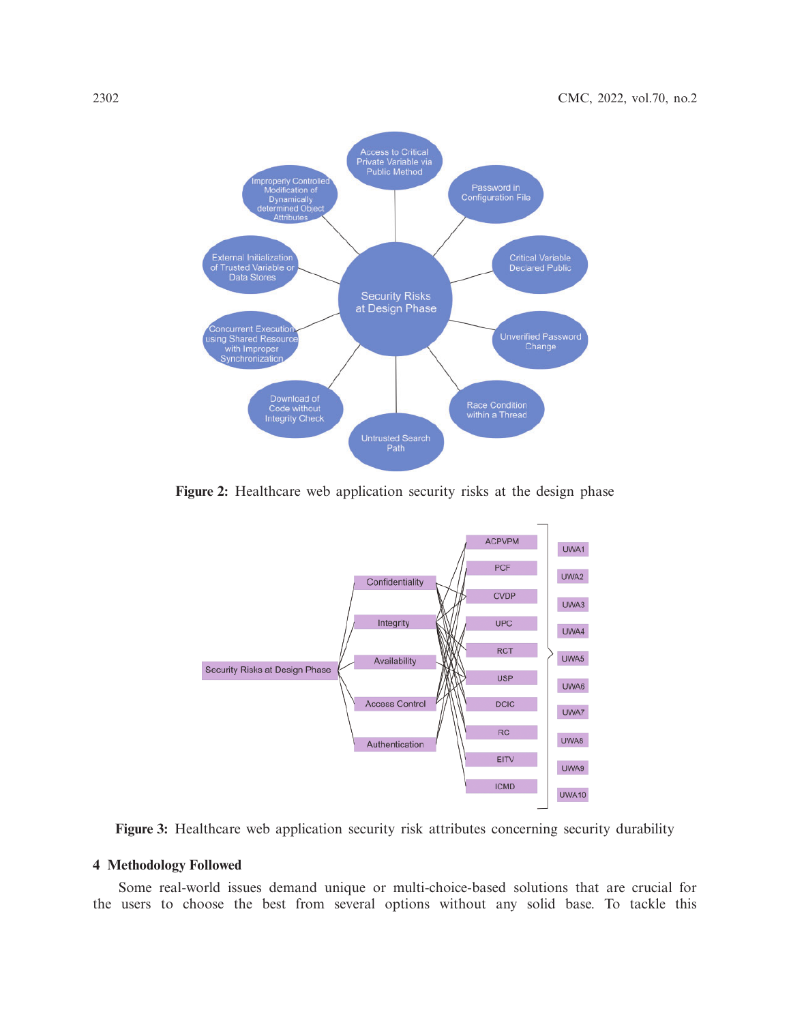

**Figure 2:** Healthcare web application security risks at the design phase

<span id="page-5-0"></span>

<span id="page-5-1"></span>Figure 3: Healthcare web application security risk attributes concerning security durability

### **4 Methodology Followed**

Some real-world issues demand unique or multi-choice-based solutions that are crucial for the users to choose the best from several options without any solid base. To tackle this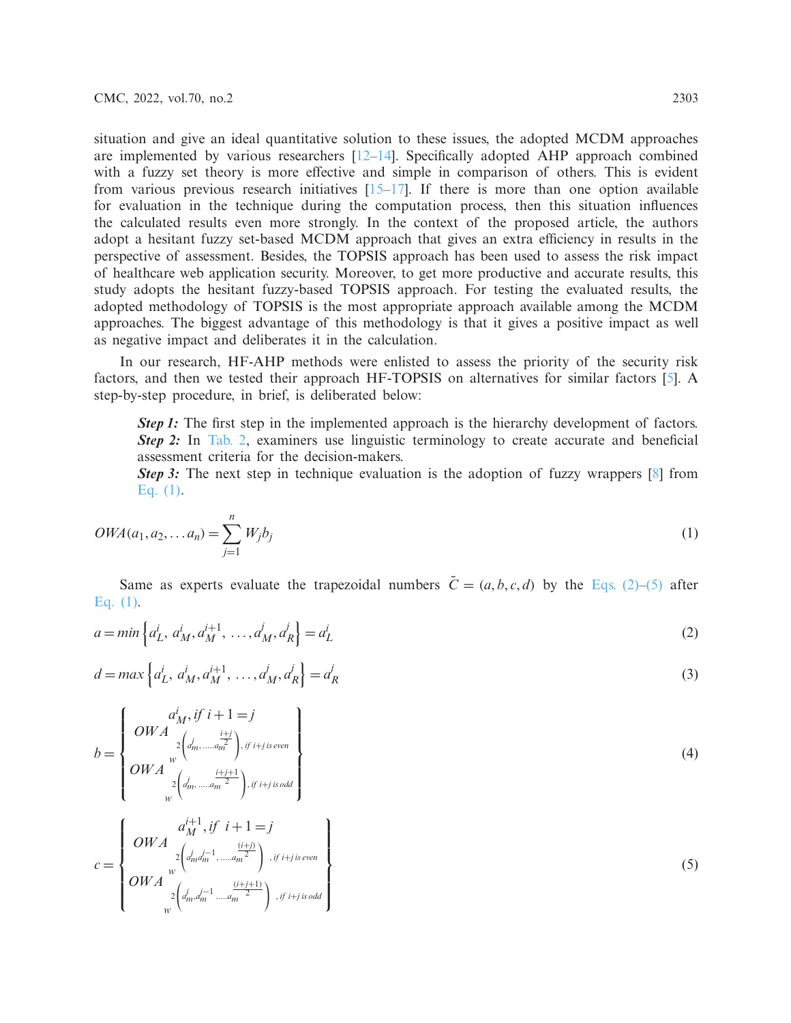situation and give an ideal quantitative solution to these issues, the adopted MCDM approaches are implemented by various researchers  $[12-14]$  $[12-14]$ . Specifically adopted AHP approach combined with a fuzzy set theory is more effective and simple in comparison of others. This is evident from various previous research initiatives  $[15-17]$  $[15-17]$ . If there is more than one option available for evaluation in the technique during the computation process, then this situation influences the calculated results even more strongly. In the context of the proposed article, the authors adopt a hesitant fuzzy set-based MCDM approach that gives an extra efficiency in results in the perspective of assessment. Besides, the TOPSIS approach has been used to assess the risk impact of healthcare web application security. Moreover, to get more productive and accurate results, this study adopts the hesitant fuzzy-based TOPSIS approach. For testing the evaluated results, the adopted methodology of TOPSIS is the most appropriate approach available among the MCDM approaches. The biggest advantage of this methodology is that it gives a positive impact as well as negative impact and deliberates it in the calculation.

In our research, HF-AHP methods were enlisted to assess the priority of the security risk factors, and then we tested their approach HF-TOPSIS on alternatives for similar factors [\[5\]](#page-20-2). A step-by-step procedure, in brief, is deliberated below:

*Step 1:* The first step in the implemented approach is the hierarchy development of factors. **Step 2:** In [Tab. 2,](#page-7-0) examiners use linguistic terminology to create accurate and beneficial assessment criteria for the decision-makers.

*Step 3:* The next step in technique evaluation is the adoption of fuzzy wrappers [\[8\]](#page-20-5) from Eq.  $(1)$ .

<span id="page-6-0"></span>
$$
OWA(a_1, a_2, \dots a_n) = \sum_{j=1}^n W_j b_j \tag{1}
$$

<span id="page-6-1"></span>Same as experts evaluate the trapezoidal numbers  $\tilde{C} = (a, b, c, d)$  by the [Eqs. \(2\)](#page-6-1)[–\(5\)](#page-6-2) after [Eq. \(1\).](#page-6-0)

$$
a = \min \left\{ a_L^i, \, a_M^i, a_M^{i+1}, \, \dots, a_M^j, a_R^j \right\} = a_L^i \tag{2}
$$

<span id="page-6-3"></span>
$$
d = \max \left\{ a_L^i, a_M^i, a_M^{i+1}, \dots, a_M^j, a_R^j \right\} = a_R^j
$$
\n(3)

$$
b = \begin{cases} a_M^i, if \ i+1=j \\ OWA \begin{cases} i \\ 2 \left( d_m^i, \dots, d_m^{\frac{i+j}{2}} \right), if \ i+j \ is \ even \\ OWA \begin{cases} i \\ 2 \left( d_m^i, \dots, d_m^{\frac{i+j+1}{2}} \right), if \ i+j \ is \ odd \end{cases} \end{cases} \tag{4}
$$

<span id="page-6-2"></span>
$$
c = \begin{Bmatrix}OWA & \frac{(i+j)}{2} \\ 2\left(d_m^j - 1, \frac{(i+j)}{2}\right) \\ 0WA & \frac{1}{2} \\ 2\left(d_m^j - 1, \frac{(i+j+1)}{2}\right) \\ 0W & \frac{2}{2} \\ 0 \end{Bmatrix}^{i} \tag{5}
$$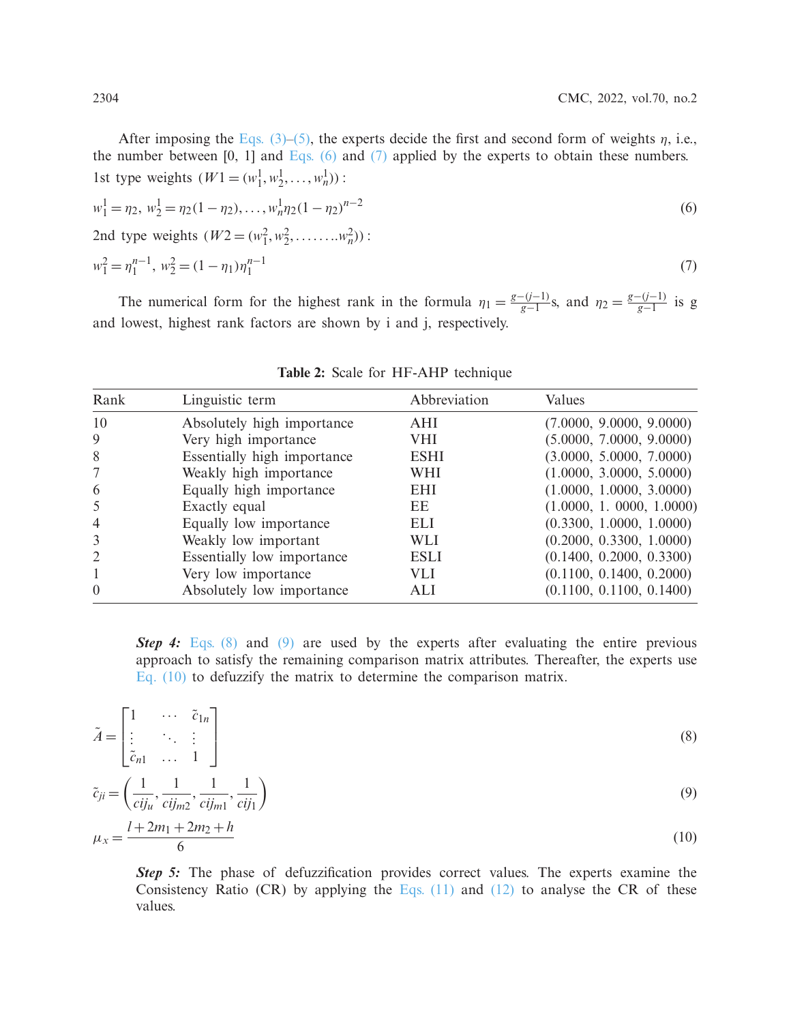After imposing the Eqs.  $(3)$ – $(5)$ , the experts decide the first and second form of weights  $\eta$ , i.e., the number between  $[0, 1]$  and Eqs.  $(6)$  and  $(7)$  applied by the experts to obtain these numbers. 1st type weights  $(W1 = (w_1^1, w_2^1, \dots, w_n^1))$ :  $w_1^1 = \eta_2, w_2^1 = \eta_2(1 - \eta_2), \dots, w_n^1 \eta_2(1 - \eta_2)$ *n*−2 (6) 2nd type weights  $(W2 = (w_1^2, w_2^2, \dots, w_n^2))$ :  $w_1^2 = \eta_1^{n-1}, w_2^2 = (1 - \eta_1)\eta_1^{n-1}$  $n-1$  (7)

The numerical form for the highest rank in the formula  $\eta_1 = \frac{g-(j-1)}{g-1}$ , and  $\eta_2 = \frac{g-(j-1)}{g-1}$  is g and lowest, highest rank factors are shown by i and j, respectively.

<span id="page-7-0"></span>

| Rank                        | Linguistic term             | Abbreviation | Values                   |
|-----------------------------|-----------------------------|--------------|--------------------------|
| 10                          | Absolutely high importance  | AHI          | (7.0000, 9.0000, 9.0000) |
| 9                           | Very high importance        | <b>VHI</b>   | (5.0000, 7.0000, 9.0000) |
| 8                           | Essentially high importance | <b>ESHI</b>  | (3.0000, 5.0000, 7.0000) |
|                             | Weakly high importance      | WHI          | (1.0000, 3.0000, 5.0000) |
| 6                           | Equally high importance     | <b>EHI</b>   | (1.0000, 1.0000, 3.0000) |
| 5                           | Exactly equal               | EE           | (1.0000, 1.0000, 1.0000) |
| $\overline{4}$              | Equally low importance      | <b>ELI</b>   | (0.3300, 1.0000, 1.0000) |
| 3                           | Weakly low important        | WLI.         | (0.2000, 0.3300, 1.0000) |
| $\mathcal{D}_{\mathcal{L}}$ | Essentially low importance  | <b>ESLI</b>  | (0.1400, 0.2000, 0.3300) |
|                             | Very low importance         | VLI.         | (0.1100, 0.1400, 0.2000) |
| $\Omega$                    | Absolutely low importance   | ALI          | (0.1100, 0.1100, 0.1400) |

<span id="page-7-3"></span><span id="page-7-2"></span><span id="page-7-1"></span>

|  |  |  | Table 2: Scale for HF-AHP technique |  |
|--|--|--|-------------------------------------|--|
|--|--|--|-------------------------------------|--|

**Step 4:** [Eqs. \(8\)](#page-7-3) and [\(9\)](#page-7-4) are used by the experts after evaluating the entire previous approach to satisfy the remaining comparison matrix attributes. Thereafter, the experts use [Eq. \(10\)](#page-7-5) to defuzzify the matrix to determine the comparison matrix.

$$
\tilde{A} = \begin{bmatrix}\n1 & \cdots & \tilde{c}_{1n} \\
\vdots & \ddots & \vdots \\
\tilde{c}_{n1} & \cdots & 1\n\end{bmatrix}
$$
\n
$$
\tilde{c}_{ji} = \left(\frac{1}{cij_u}, \frac{1}{cij_m}, \frac{1}{cij_m}, \frac{1}{cij_1}\right)
$$
\n
$$
\mu_x = \frac{l + 2m_1 + 2m_2 + h}{6}
$$
\n(10)

<span id="page-7-5"></span><span id="page-7-4"></span>**Step 5:** The phase of defuzzification provides correct values. The experts examine the Consistency Ratio (CR) by applying the Eqs.  $(11)$  and  $(12)$  to analyse the CR of these values.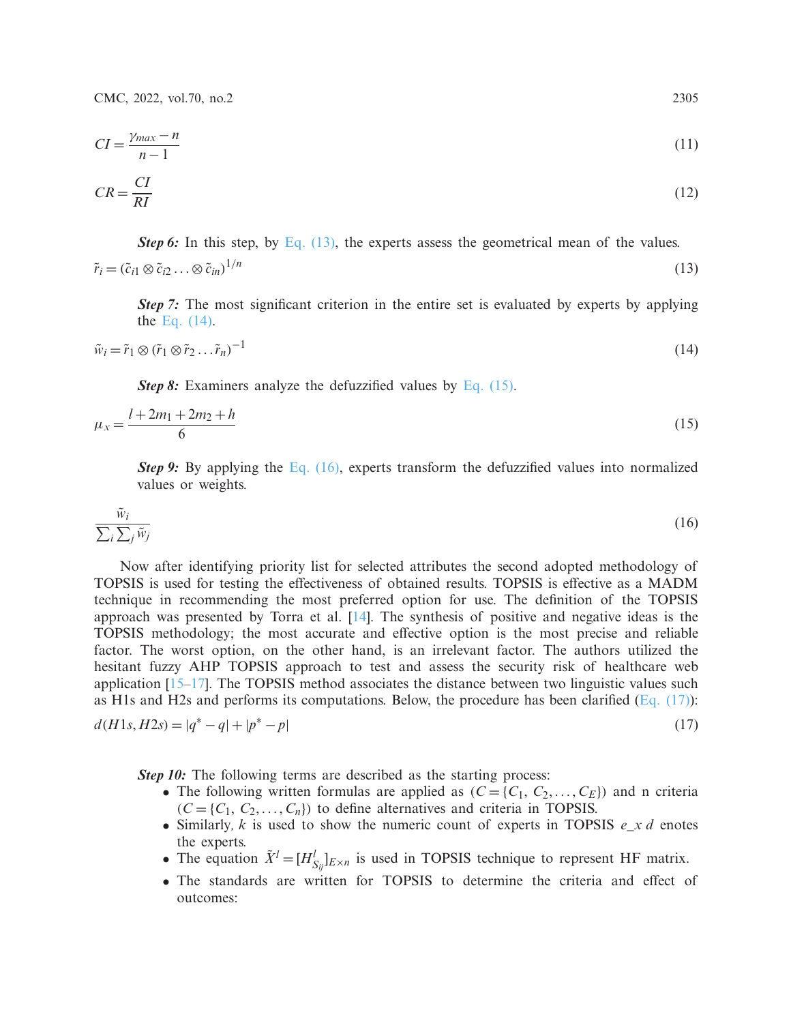CMC, 2022, vol.70, no.2 2305

<span id="page-8-0"></span>
$$
CI = \frac{\gamma_{max} - n}{n - 1} \tag{11}
$$

<span id="page-8-1"></span>
$$
CR = \frac{CI}{RI} \tag{12}
$$

<span id="page-8-2"></span>*Step 6:* In this step, by [Eq. \(13\),](#page-8-2) the experts assess the geometrical mean of the values.  $\tilde{r}_i = (\tilde{c}_{i1} \otimes \tilde{c}_{i2} \dots \otimes \tilde{c}_{in})^{1/n}$  $1/n$  (13)

*Step 7:* The most significant criterion in the entire set is evaluated by experts by applying the [Eq. \(14\).](#page-8-3)

<span id="page-8-3"></span>
$$
\tilde{w}_i = \tilde{r}_1 \otimes (\tilde{r}_1 \otimes \tilde{r}_2 \dots \tilde{r}_n)^{-1} \tag{14}
$$

*Step 8:* Examiners analyze the defuzzified values by [Eq. \(15\).](#page-8-4)

<span id="page-8-4"></span>
$$
\mu_x = \frac{l + 2m_1 + 2m_2 + h}{6} \tag{15}
$$

*Step 9:* By applying the [Eq. \(16\),](#page-8-5) experts transform the defuzzified values into normalized values or weights.

<span id="page-8-5"></span>
$$
\frac{\tilde{w}_i}{\sum_i \sum_j \tilde{w}_j} \tag{16}
$$

Now after identifying priority list for selected attributes the second adopted methodology of TOPSIS is used for testing the effectiveness of obtained results. TOPSIS is effective as a MADM technique in recommending the most preferred option for use. The definition of the TOPSIS approach was presented by Torra et al. [\[14\]](#page-20-11). The synthesis of positive and negative ideas is the TOPSIS methodology; the most accurate and effective option is the most precise and reliable factor. The worst option, on the other hand, is an irrelevant factor. The authors utilized the hesitant fuzzy AHP TOPSIS approach to test and assess the security risk of healthcare web application  $[15-17]$  $[15-17]$ . The TOPSIS method associates the distance between two linguistic values such as H1s and H2s and performs its computations. Below, the procedure has been clarified [\(Eq. \(17\)\)](#page-8-6):

$$
d(H1s, H2s) = |q^* - q| + |p^* - p| \tag{17}
$$

*Step 10:* The following terms are described as the starting process:

- <span id="page-8-6"></span>• The following written formulas are applied as  $(C = \{C_1, C_2, \ldots, C_E\})$  and n criteria  $(C = \{C_1, C_2, \ldots, C_n\})$  to define alternatives and criteria in TOPSIS.
- Similarly*, k* is used to show the numeric count of experts in TOPSIS *e\_x d* enotes the experts.
- The equation  $\tilde{X}^l = [H_{S_{ij}}^l]_{E \times n}$  is used in TOPSIS technique to represent HF matrix.
- The standards are written for TOPSIS to determine the criteria and effect of outcomes: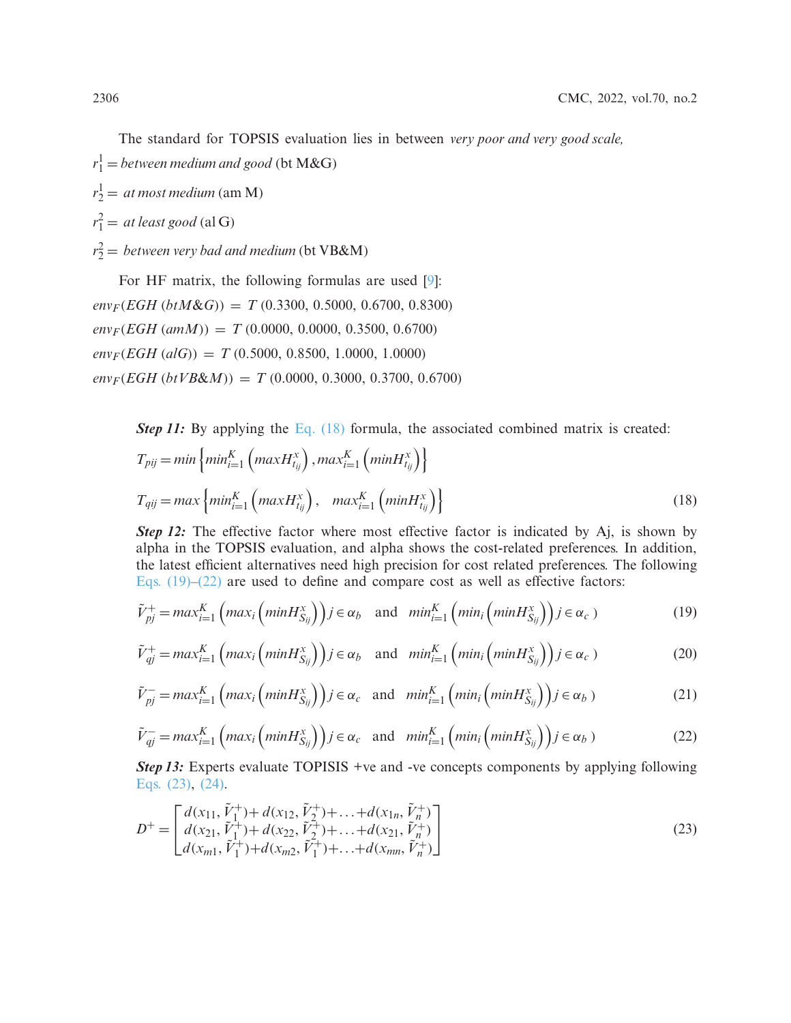The standard for TOPSIS evaluation lies in between *very poor and very good scale,*

 $r_1^1 =$  *between medium and good* (bt M&G)

 $r_2^1 = at most medium (am M)$ 

 $r_1^2 = at least good$  (al G)

 $r_2^2$  = *between very bad and medium* (bt VB&M)

For HF matrix, the following formulas are used [\[9](#page-20-6)]:  $env_F(EGH (btM&G)) = T (0.3300, 0.5000, 0.6700, 0.8300)$  $env<sub>F</sub>(EGH (amM)) = T (0.0000, 0.0000, 0.3500, 0.6700)$  $env_F(EGH (alG)) = T (0.5000, 0.8500, 1.0000, 1.0000)$  $env_F(EGH (btVB\&M)) = T (0.0000, 0.3000, 0.3700, 0.6700)$ 

*Step 11:* By applying the [Eq. \(18\)](#page-9-0) formula, the associated combined matrix is created:

<span id="page-9-0"></span>
$$
T_{pij} = min \left\{ min_{i=1}^K \left( max H_{tij}^x \right), max_{i=1}^K \left( min H_{tij}^x \right) \right\}
$$
  

$$
T_{qij} = max \left\{ min_{i=1}^K \left( max H_{tij}^x \right), \quad max_{i=1}^K \left( min H_{tij}^x \right) \right\}
$$
 (18)

*Step 12:* The effective factor where most effective factor is indicated by Aj, is shown by alpha in the TOPSIS evaluation, and alpha shows the cost-related preferences. In addition, the latest efficient alternatives need high precision for cost related preferences. The following Eqs.  $(19)$ – $(22)$  are used to define and compare cost as well as effective factors:

<span id="page-9-1"></span>
$$
\tilde{V}_{pj}^{+} = max_{i=1}^{K} \left( max_i \left( min H_{S_{ij}}^{x} \right) \right) j \in \alpha_b \quad \text{and} \quad min_{i=1}^{K} \left( min_i \left( min H_{S_{ij}}^{x} \right) \right) j \in \alpha_c \tag{19}
$$

$$
\tilde{V}_{qj}^{+} = max_{i=1}^{K} \left( max_{i} \left( minH_{S_{ij}}^{x} \right) \right) j \in \alpha_{b} \quad \text{and} \quad min_{i=1}^{K} \left( min_{i} \left( minH_{S_{ij}}^{x} \right) \right) j \in \alpha_{c} \tag{20}
$$

$$
\tilde{V}_{pj}^{-} = max_{i=1}^{K} \left( max_i \left( min H_{S_{ij}}^{x} \right) \right) j \in \alpha_c \quad \text{and} \quad min_{i=1}^{K} \left( min_i \left( min H_{S_{ij}}^{x} \right) \right) j \in \alpha_b \tag{21}
$$

<span id="page-9-2"></span>
$$
\tilde{V}_{qj}^{-} = max_{i=1}^{K} \left( max_i \left( min H_{S_{ij}}^{x} \right) \right) j \in \alpha_c \quad \text{and} \quad min_{i=1}^{K} \left( min_i \left( min H_{S_{ij}}^{x} \right) \right) j \in \alpha_b \tag{22}
$$

<span id="page-9-3"></span>*Step 13:* Experts evaluate TOPISIS +ve and -ve concepts components by applying following [Eqs. \(23\),](#page-9-3) [\(24\).](#page-10-0)

$$
D^{+} = \begin{bmatrix} d(x_{11}, \tilde{V}_{1}^{+}) + d(x_{12}, \tilde{V}_{2}^{+}) + \dots + d(x_{1n}, \tilde{V}_{n}^{+}) \\ d(x_{21}, \tilde{V}_{1}^{+}) + d(x_{22}, \tilde{V}_{2}^{+}) + \dots + d(x_{21}, \tilde{V}_{n}^{+}) \\ d(x_{m1}, \tilde{V}_{1}^{+}) + d(x_{m2}, \tilde{V}_{1}^{+}) + \dots + d(x_{mn}, \tilde{V}_{n}^{+}) \end{bmatrix}
$$
(23)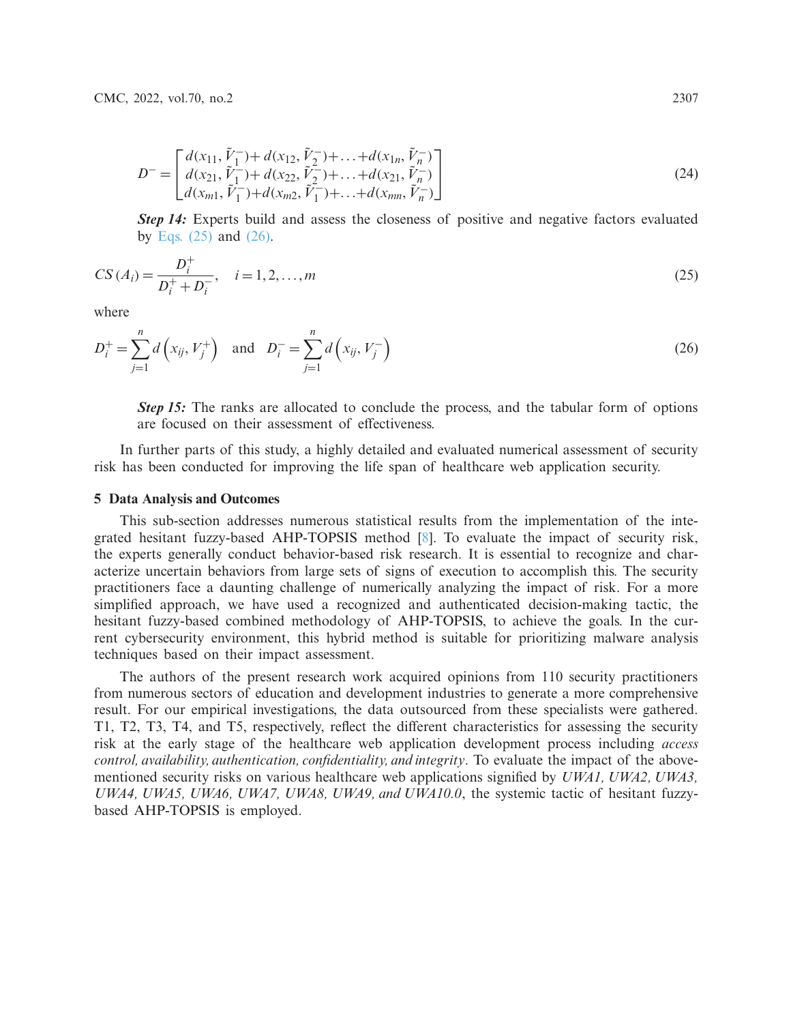<span id="page-10-0"></span>
$$
D^{-} = \begin{bmatrix} d(x_{11}, \tilde{V}_1^-) + d(x_{12}, \tilde{V}_2^-) + \dots + d(x_{1n}, \tilde{V}_n^-) \\ d(x_{21}, \tilde{V}_1^-) + d(x_{22}, \tilde{V}_2^-) + \dots + d(x_{21}, \tilde{V}_n^-) \\ d(x_{m1}, \tilde{V}_1^-) + d(x_{m2}, \tilde{V}_1^-) + \dots + d(x_{mn}, \tilde{V}_n^-) \end{bmatrix}
$$
(24)

**Step 14:** Experts build and assess the closeness of positive and negative factors evaluated by Eqs.  $(25)$  and  $(26)$ .

<span id="page-10-1"></span>
$$
CS(A_i) = \frac{D_i^+}{D_i^+ + D_i^-}, \quad i = 1, 2, ..., m
$$
\n(25)

<span id="page-10-2"></span>where

$$
D_i^+ = \sum_{j=1}^n d\left(x_{ij}, V_j^+\right) \text{ and } D_i^- = \sum_{j=1}^n d\left(x_{ij}, V_j^-\right) \tag{26}
$$

*Step 15:* The ranks are allocated to conclude the process, and the tabular form of options are focused on their assessment of effectiveness.

In further parts of this study, a highly detailed and evaluated numerical assessment of security risk has been conducted for improving the life span of healthcare web application security.

#### **5 Data Analysis and Outcomes**

This sub-section addresses numerous statistical results from the implementation of the integrated hesitant fuzzy-based AHP-TOPSIS method [\[8](#page-20-5)]. To evaluate the impact of security risk, the experts generally conduct behavior-based risk research. It is essential to recognize and characterize uncertain behaviors from large sets of signs of execution to accomplish this. The security practitioners face a daunting challenge of numerically analyzing the impact of risk. For a more simplified approach, we have used a recognized and authenticated decision-making tactic, the hesitant fuzzy-based combined methodology of AHP-TOPSIS, to achieve the goals. In the current cybersecurity environment, this hybrid method is suitable for prioritizing malware analysis techniques based on their impact assessment.

The authors of the present research work acquired opinions from 110 security practitioners from numerous sectors of education and development industries to generate a more comprehensive result. For our empirical investigations, the data outsourced from these specialists were gathered. T1, T2, T3, T4, and T5, respectively, reflect the different characteristics for assessing the security risk at the early stage of the healthcare web application development process including *access control, availability, authentication, confidentiality, and integrity*. To evaluate the impact of the abovementioned security risks on various healthcare web applications signified by *UWA1, UWA2, UWA3, UWA4, UWA5, UWA6, UWA7, UWA8, UWA9, and UWA10.0*, the systemic tactic of hesitant fuzzybased AHP-TOPSIS is employed.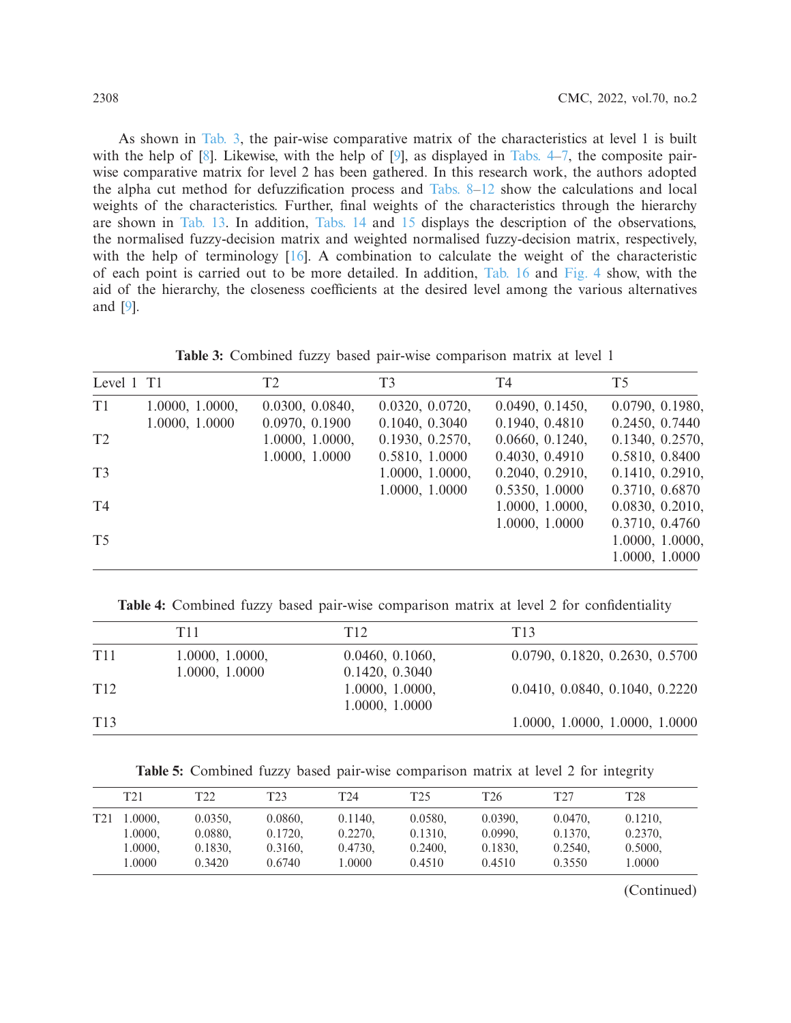As shown in [Tab. 3,](#page-11-0) the pair-wise comparative matrix of the characteristics at level 1 is built with the help of [\[8\]](#page-20-5). Likewise, with the help of [\[9](#page-20-6)], as displayed in [Tabs. 4–](#page-11-1)[7,](#page-13-0) the composite pairwise comparative matrix for level 2 has been gathered. In this research work, the authors adopted the alpha cut method for defuzzification process and [Tabs. 8–](#page-13-1)[12](#page-14-0) show the calculations and local weights of the characteristics. Further, final weights of the characteristics through the hierarchy are shown in [Tab. 13.](#page-14-1) In addition, [Tabs. 14](#page-15-0) and [15](#page-16-0) displays the description of the observations, the normalised fuzzy-decision matrix and weighted normalised fuzzy-decision matrix, respectively, with the help of terminology [\[16](#page-20-13)]. A combination to calculate the weight of the characteristic of each point is carried out to be more detailed. In addition, [Tab. 16](#page-18-0) and [Fig. 4](#page-18-1) show, with the aid of the hierarchy, the closeness coefficients at the desired level among the various alternatives and [\[9](#page-20-6)].

**Table 3:** Combined fuzzy based pair-wise comparison matrix at level 1

<span id="page-11-0"></span>

| Level 1 T1     |                 | T <sub>2</sub>  | T <sub>3</sub>  | T4              | T <sub>5</sub>  |
|----------------|-----------------|-----------------|-----------------|-----------------|-----------------|
| T <sub>1</sub> | 1.0000, 1.0000, | 0.0300, 0.0840, | 0.0320, 0.0720, | 0.0490, 0.1450, | 0.0790, 0.1980, |
|                | 1.0000, 1.0000  | 0.0970, 0.1900  | 0.1040, 0.3040  | 0.1940, 0.4810  | 0.2450, 0.7440  |
| T <sub>2</sub> |                 | 1.0000, 1.0000, | 0.1930, 0.2570, | 0.0660, 0.1240, | 0.1340, 0.2570, |
|                |                 | 1.0000, 1.0000  | 0.5810, 1.0000  | 0.4030, 0.4910  | 0.5810, 0.8400  |
| T <sub>3</sub> |                 |                 | 1.0000, 1.0000, | 0.2040, 0.2910, | 0.1410, 0.2910, |
|                |                 |                 | 1.0000, 1.0000  | 0.5350, 1.0000  | 0.3710, 0.6870  |
| T4             |                 |                 |                 | 1.0000, 1.0000, | 0.0830, 0.2010, |
|                |                 |                 |                 | 1.0000, 1.0000  | 0.3710, 0.4760  |
| T <sub>5</sub> |                 |                 |                 |                 | 1.0000, 1.0000, |
|                |                 |                 |                 |                 | 1.0000, 1.0000  |

<span id="page-11-1"></span>**Table 4:** Combined fuzzy based pair-wise comparison matrix at level 2 for confidentiality

|                 | T <sub>11</sub> | T12             | T <sub>13</sub>                |
|-----------------|-----------------|-----------------|--------------------------------|
| T <sub>11</sub> | 1.0000, 1.0000, | 0.0460, 0.1060, | 0.0790, 0.1820, 0.2630, 0.5700 |
|                 | 1.0000, 1.0000  | 0.1420, 0.3040  |                                |
| T <sub>12</sub> |                 | 1.0000, 1.0000, | 0.0410, 0.0840, 0.1040, 0.2220 |
|                 |                 | 1.0000, 1.0000  |                                |
| T <sub>13</sub> |                 |                 | 1.0000, 1.0000, 1.0000, 1.0000 |

**Table 5:** Combined fuzzy based pair-wise comparison matrix at level 2 for integrity

|     | T <sub>21</sub> | T <sub>22</sub> | T <sub>23</sub> | T <sub>24</sub> | T <sub>25</sub> | T <sub>26</sub> | T <sub>27</sub> | T <sub>28</sub> |
|-----|-----------------|-----------------|-----------------|-----------------|-----------------|-----------------|-----------------|-----------------|
| T21 | .0000.          | 0.0350.         | 0.0860.         | 0.1140.         | 0.0580.         | 0.0390,         | 0.0470.         | 0.1210.         |
|     | 1.0000,         | 0.0880.         | 0.1720.         | 0.2270.         | 0.1310.         | 0.0990.         | 0.1370.         | 0.2370,         |
|     | 1.0000,         | 0.1830.         | 0.3160.         | 0.4730.         | 0.2400.         | 0.1830.         | 0.2540.         | 0.5000.         |
|     | 1.0000          | 0.3420          | 0.6740          | 1.0000          | 0.4510          | 0.4510          | 0.3550          | 1.0000          |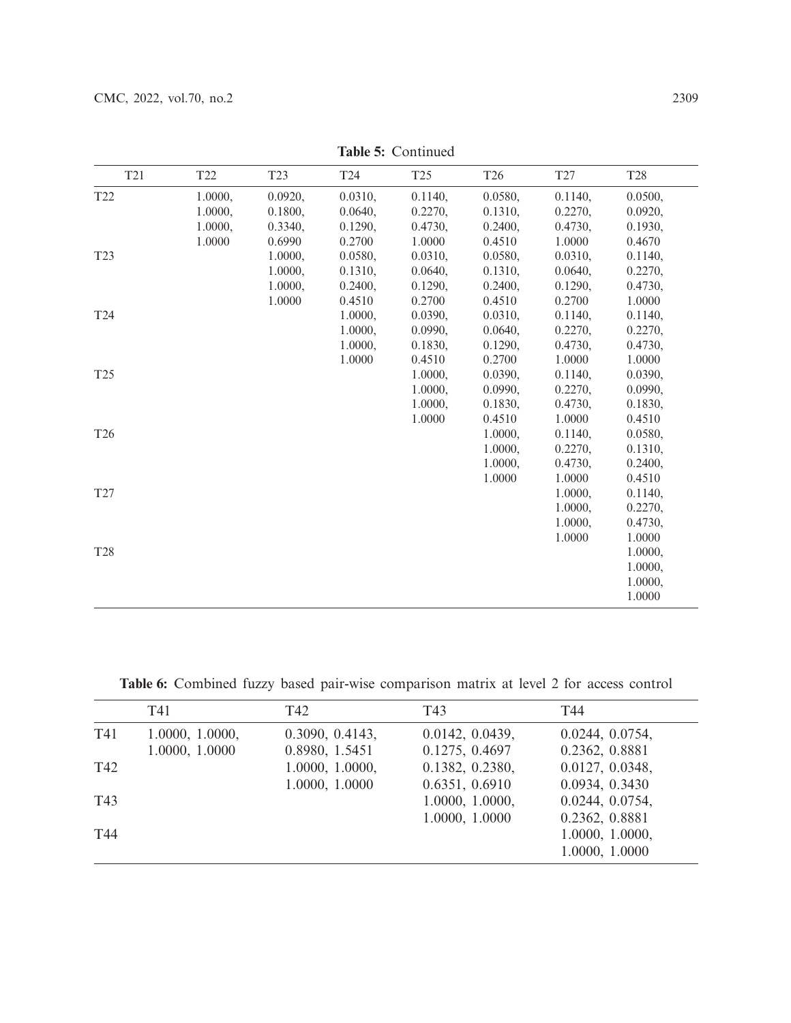| T <sub>21</sub> | T <sub>22</sub> | T <sub>23</sub> | T24     | T <sub>25</sub> | T <sub>26</sub> | T27     | T <sub>28</sub> |
|-----------------|-----------------|-----------------|---------|-----------------|-----------------|---------|-----------------|
| T <sub>22</sub> | 1.0000,         | 0.0920,         | 0.0310, | 0.1140,         | 0.0580,         | 0.1140, | 0.0500,         |
|                 | 1.0000,         | 0.1800,         | 0.0640, | 0.2270,         | 0.1310,         | 0.2270, | 0.0920,         |
|                 | 1.0000,         | 0.3340,         | 0.1290, | 0.4730,         | 0.2400,         | 0.4730, | 0.1930,         |
|                 | 1.0000          | 0.6990          | 0.2700  | 1.0000          | 0.4510          | 1.0000  | 0.4670          |
| T <sub>23</sub> |                 | 1.0000,         | 0.0580, | 0.0310,         | 0.0580,         | 0.0310, | 0.1140,         |
|                 |                 | 1.0000,         | 0.1310, | 0.0640,         | 0.1310,         | 0.0640, | 0.2270,         |
|                 |                 | 1.0000,         | 0.2400, | 0.1290,         | 0.2400,         | 0.1290, | 0.4730,         |
|                 |                 | 1.0000          | 0.4510  | 0.2700          | 0.4510          | 0.2700  | 1.0000          |
| T <sub>24</sub> |                 |                 | 1.0000, | 0.0390,         | 0.0310,         | 0.1140, | 0.1140,         |
|                 |                 |                 | 1.0000, | 0.0990,         | 0.0640,         | 0.2270, | 0.2270,         |
|                 |                 |                 | 1.0000, | 0.1830,         | 0.1290,         | 0.4730, | 0.4730,         |
|                 |                 |                 | 1.0000  | 0.4510          | 0.2700          | 1.0000  | 1.0000          |
| T <sub>25</sub> |                 |                 |         | 1.0000,         | 0.0390,         | 0.1140, | 0.0390,         |
|                 |                 |                 |         | 1.0000,         | 0.0990,         | 0.2270, | 0.0990,         |
|                 |                 |                 |         | 1.0000,         | 0.1830,         | 0.4730, | 0.1830,         |
|                 |                 |                 |         | 1.0000          | 0.4510          | 1.0000  | 0.4510          |
| T <sub>26</sub> |                 |                 |         |                 | 1.0000,         | 0.1140, | 0.0580,         |
|                 |                 |                 |         |                 | 1.0000,         | 0.2270, | 0.1310,         |
|                 |                 |                 |         |                 | 1.0000,         | 0.4730, | 0.2400,         |
|                 |                 |                 |         |                 | 1.0000          | 1.0000  | 0.4510          |
| T27             |                 |                 |         |                 |                 | 1.0000, | 0.1140,         |
|                 |                 |                 |         |                 |                 | 1.0000. | 0.2270,         |
|                 |                 |                 |         |                 |                 | 1.0000, | 0.4730,         |
|                 |                 |                 |         |                 |                 | 1.0000  | 1.0000          |
| <b>T28</b>      |                 |                 |         |                 |                 |         | 1.0000,         |
|                 |                 |                 |         |                 |                 |         | 1.0000,         |
|                 |                 |                 |         |                 |                 |         | 1.0000,         |
|                 |                 |                 |         |                 |                 |         | 1.0000          |
|                 |                 |                 |         |                 |                 |         |                 |

**Table 5:** Continued

**Table 6:** Combined fuzzy based pair-wise comparison matrix at level 2 for access control

|     | T41                               | T42                               | T43                               | T44                               |
|-----|-----------------------------------|-----------------------------------|-----------------------------------|-----------------------------------|
| T41 | 1.0000, 1.0000,<br>1.0000, 1.0000 | 0.3090, 0.4143,<br>0.8980, 1.5451 | 0.0142, 0.0439,<br>0.1275, 0.4697 | 0.0244, 0.0754,<br>0.2362, 0.8881 |
| T42 |                                   | 1.0000, 1.0000,                   | 0.1382, 0.2380,                   | 0.0127, 0.0348,                   |
| T43 |                                   | 1.0000, 1.0000                    | 0.6351, 0.6910<br>1.0000, 1.0000, | 0.0934, 0.3430<br>0.0244, 0.0754, |
| T44 |                                   |                                   | 1.0000, 1.0000                    | 0.2362, 0.8881<br>1.0000, 1.0000, |
|     |                                   |                                   |                                   | 1.0000, 1.0000                    |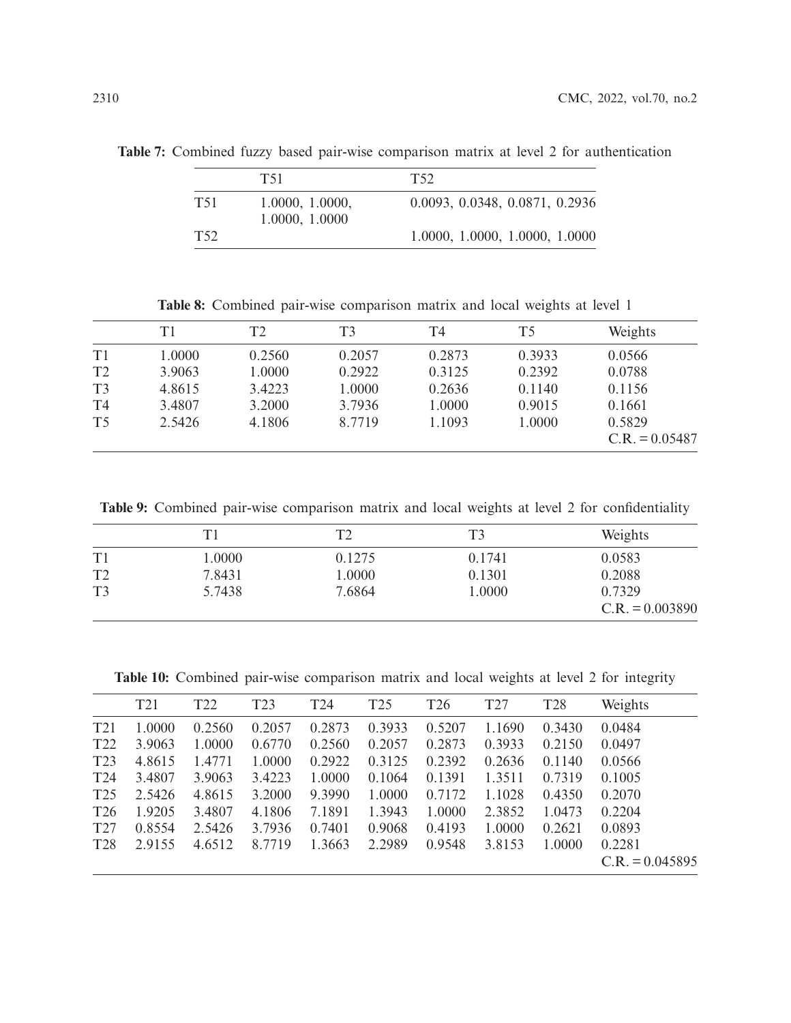<span id="page-13-0"></span>**Table 7:** Combined fuzzy based pair-wise comparison matrix at level 2 for authentication

|                 | T51             | T52                            |
|-----------------|-----------------|--------------------------------|
| T <sub>51</sub> | 1.0000, 1.0000, | 0.0093, 0.0348, 0.0871, 0.2936 |
|                 | 1.0000, 1.0000  |                                |
| T52             |                 | 1.0000, 1.0000, 1.0000, 1.0000 |

**Table 8:** Combined pair-wise comparison matrix and local weights at level 1

<span id="page-13-1"></span>

|                | T <sub>1</sub> | T <sub>2</sub> | T3     | T4     | T <sub>5</sub> | Weights          |
|----------------|----------------|----------------|--------|--------|----------------|------------------|
| T1             | 1.0000         | 0.2560         | 0.2057 | 0.2873 | 0.3933         | 0.0566           |
| T <sub>2</sub> | 3.9063         | 1.0000         | 0.2922 | 0.3125 | 0.2392         | 0.0788           |
| T <sub>3</sub> | 4.8615         | 3.4223         | 1.0000 | 0.2636 | 0.1140         | 0.1156           |
| T4             | 3.4807         | 3.2000         | 3.7936 | 1.0000 | 0.9015         | 0.1661           |
| T <sub>5</sub> | 2.5426         | 4.1806         | 8.7719 | 1.1093 | 1.0000         | 0.5829           |
|                |                |                |        |        |                | $C.R. = 0.05487$ |

**Table 9:** Combined pair-wise comparison matrix and local weights at level 2 for confidentiality

|                | T1     | ⊤ி     | T3     | Weights                     |
|----------------|--------|--------|--------|-----------------------------|
| T1             | 1.0000 | 0.1275 | 0.1741 | 0.0583                      |
| T <sub>2</sub> | 7.8431 | 1.0000 | 0.1301 | 0.2088                      |
| T <sub>3</sub> | 5.7438 | 7.6864 | 1.0000 | 0.7329<br>$C.R. = 0.003890$ |

**Table 10:** Combined pair-wise comparison matrix and local weights at level 2 for integrity

|                 | T21    | T <sub>22</sub> | T <sub>23</sub> | T24    | T25    | T <sub>26</sub> | T <sub>27</sub> | T <sub>28</sub> | Weights           |
|-----------------|--------|-----------------|-----------------|--------|--------|-----------------|-----------------|-----------------|-------------------|
| T21             | 1.0000 | 0.2560          | 0.2057          | 0.2873 | 0.3933 | 0.5207          | 1.1690          | 0.3430          | 0.0484            |
| T <sub>22</sub> | 3.9063 | 1.0000          | 0.6770          | 0.2560 | 0.2057 | 0.2873          | 0.3933          | 0.2150          | 0.0497            |
| T23             | 4.8615 | 1.4771          | 1.0000          | 0.2922 | 0.3125 | 0.2392          | 0.2636          | 0.1140          | 0.0566            |
| T <sub>24</sub> | 3.4807 | 3.9063          | 3.4223          | 1.0000 | 0.1064 | 0.1391          | 1.3511          | 0.7319          | 0.1005            |
| T <sub>25</sub> | 2.5426 | 4.8615          | 3.2000          | 9.3990 | 1.0000 | 0.7172          | 1.1028          | 0.4350          | 0.2070            |
| T <sub>26</sub> | 1.9205 | 3.4807          | 4.1806          | 7.1891 | 1.3943 | 1.0000          | 2.3852          | 1.0473          | 0.2204            |
| T27             | 0.8554 | 2.5426          | 3.7936          | 0.7401 | 0.9068 | 0.4193          | 1.0000          | 0.2621          | 0.0893            |
| <b>T28</b>      | 2.9155 | 4.6512          | 8.7719          | 1.3663 | 2.2989 | 0.9548          | 3.8153          | 1.0000          | 0.2281            |
|                 |        |                 |                 |        |        |                 |                 |                 | $C.R. = 0.045895$ |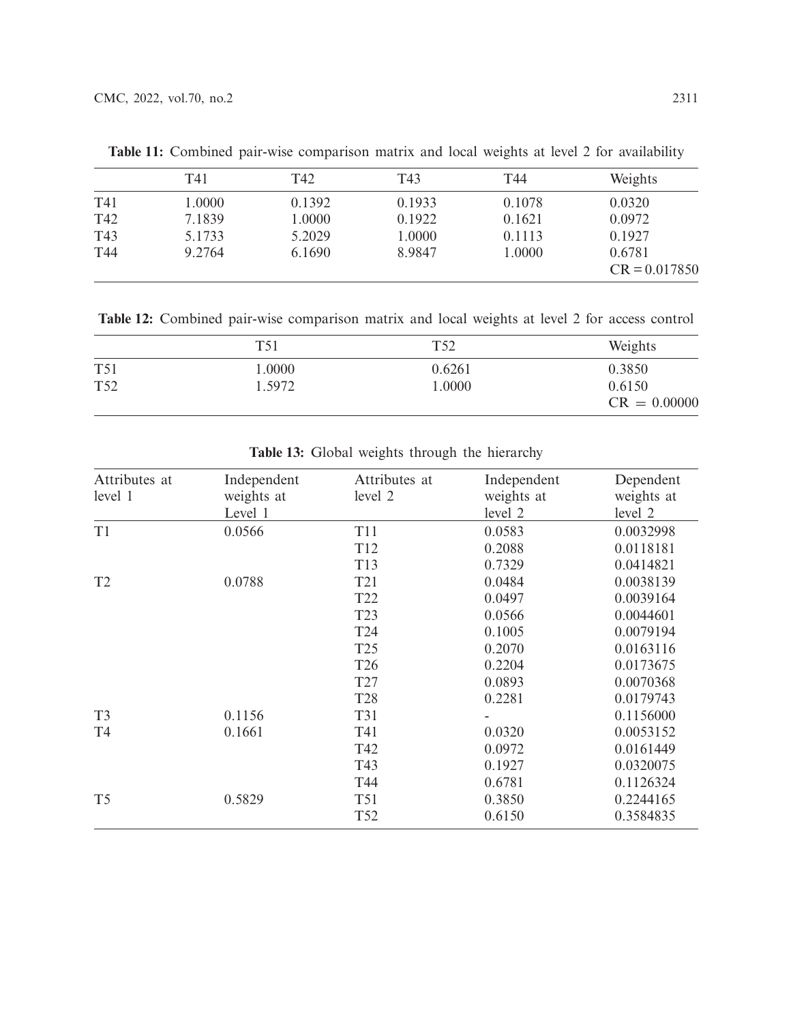|     | T41    | T42    | T43    | T44    | Weights         |
|-----|--------|--------|--------|--------|-----------------|
| T41 | 1.0000 | 0.1392 | 0.1933 | 0.1078 | 0.0320          |
| T42 | 7.1839 | 1.0000 | 0.1922 | 0.1621 | 0.0972          |
| T43 | 5.1733 | 5.2029 | 1.0000 | 0.1113 | 0.1927          |
| T44 | 9.2764 | 6.1690 | 8.9847 | 1.0000 | 0.6781          |
|     |        |        |        |        | $CR = 0.017850$ |

**Table 11:** Combined pair-wise comparison matrix and local weights at level 2 for availability

<span id="page-14-0"></span>**Table 12:** Combined pair-wise comparison matrix and local weights at level 2 for access control

|                 | T <sub>51</sub> | T <sub>52</sub> | Weights                  |
|-----------------|-----------------|-----------------|--------------------------|
| <b>T51</b>      | $0000$ .        | 0.6261          | 0.3850                   |
| T <sub>52</sub> | 1.5972          | 1.0000          | 0.6150<br>$CR = 0.00000$ |

**Table 13:** Global weights through the hierarchy

<span id="page-14-1"></span>

| Attributes at<br>level 1 | Independent<br>weights at<br>Level 1 | Attributes at<br>level 2 | Independent<br>weights at<br>level 2 | Dependent<br>weights at<br>level 2 |
|--------------------------|--------------------------------------|--------------------------|--------------------------------------|------------------------------------|
| T1                       | 0.0566                               | <b>T11</b>               | 0.0583                               | 0.0032998                          |
|                          |                                      | T <sub>12</sub>          | 0.2088                               | 0.0118181                          |
|                          |                                      | T13                      | 0.7329                               | 0.0414821                          |
| T <sub>2</sub>           | 0.0788                               | T <sub>21</sub>          | 0.0484                               | 0.0038139                          |
|                          |                                      | T <sub>22</sub>          | 0.0497                               | 0.0039164                          |
|                          |                                      | T <sub>23</sub>          | 0.0566                               | 0.0044601                          |
|                          |                                      | T24                      | 0.1005                               | 0.0079194                          |
|                          |                                      | T <sub>25</sub>          | 0.2070                               | 0.0163116                          |
|                          |                                      | T <sub>26</sub>          | 0.2204                               | 0.0173675                          |
|                          |                                      | T <sub>27</sub>          | 0.0893                               | 0.0070368                          |
|                          |                                      | <b>T28</b>               | 0.2281                               | 0.0179743                          |
| T <sub>3</sub>           | 0.1156                               | <b>T31</b>               |                                      | 0.1156000                          |
| T <sub>4</sub>           | 0.1661                               | T41                      | 0.0320                               | 0.0053152                          |
|                          |                                      | T42                      | 0.0972                               | 0.0161449                          |
|                          |                                      | T43                      | 0.1927                               | 0.0320075                          |
|                          |                                      | T44                      | 0.6781                               | 0.1126324                          |
| T <sub>5</sub>           | 0.5829                               | T <sub>51</sub>          | 0.3850                               | 0.2244165                          |
|                          |                                      | T <sub>52</sub>          | 0.6150                               | 0.3584835                          |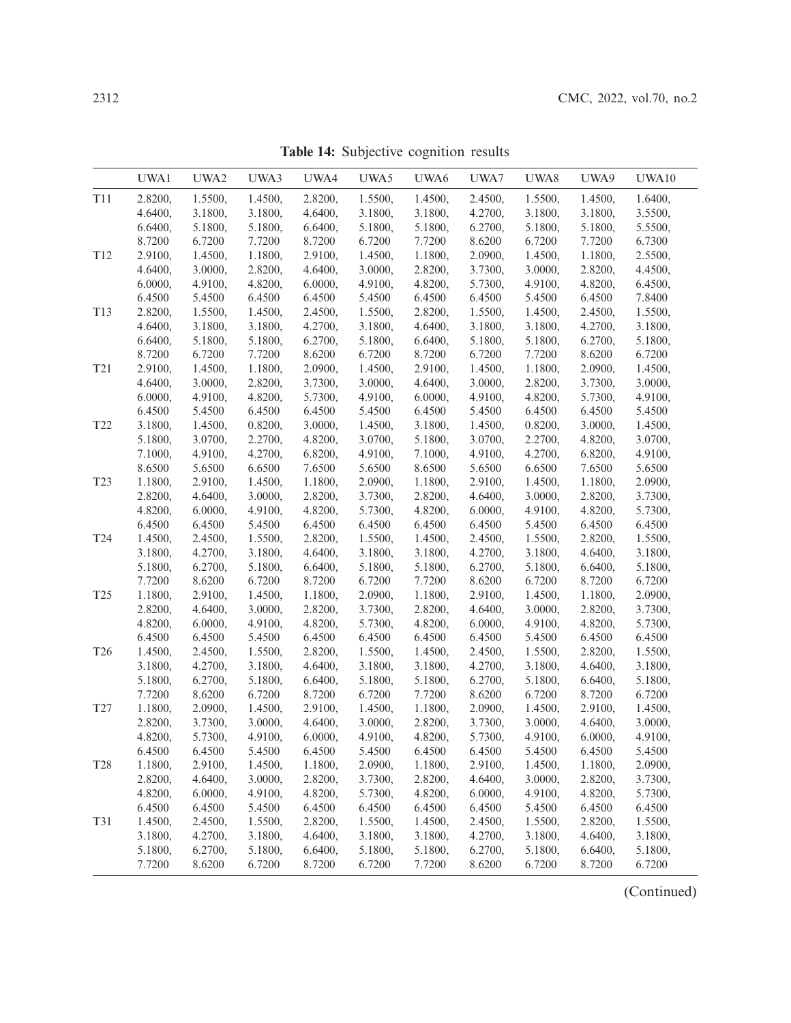<span id="page-15-0"></span>

|                 | UWA1    | UWA2    | UWA3    | UWA4    | UWA5    | UWA6    | UWA7    | UWA8    | UWA9    | UWA10   |
|-----------------|---------|---------|---------|---------|---------|---------|---------|---------|---------|---------|
| T11             | 2.8200, | 1.5500, | 1.4500, | 2.8200, | 1.5500, | 1.4500, | 2.4500, | 1.5500, | 1.4500, | 1.6400, |
|                 | 4.6400, | 3.1800, | 3.1800, | 4.6400, | 3.1800, | 3.1800, | 4.2700, | 3.1800, | 3.1800, | 3.5500, |
|                 | 6.6400, | 5.1800, | 5.1800, | 6.6400, | 5.1800, | 5.1800, | 6.2700, | 5.1800, | 5.1800, | 5.5500, |
|                 | 8.7200  | 6.7200  | 7.7200  | 8.7200  | 6.7200  | 7.7200  | 8.6200  | 6.7200  | 7.7200  | 6.7300  |
| T <sub>12</sub> | 2.9100, | 1.4500, | 1.1800, | 2.9100, | 1.4500, | 1.1800, | 2.0900, | 1.4500, | 1.1800, | 2.5500, |
|                 | 4.6400, | 3.0000, | 2.8200, | 4.6400, | 3.0000, | 2.8200, | 3.7300, | 3.0000, | 2.8200, | 4.4500, |
|                 | 6.0000, | 4.9100, | 4.8200, | 6.0000, | 4.9100, | 4.8200, | 5.7300, | 4.9100, | 4.8200, | 6.4500, |
|                 | 6.4500  | 5.4500  | 6.4500  | 6.4500  | 5.4500  | 6.4500  | 6.4500  | 5.4500  | 6.4500  | 7.8400  |
| T <sub>13</sub> | 2.8200, | 1.5500, | 1.4500, | 2.4500, | 1.5500, | 2.8200, | 1.5500, | 1.4500, | 2.4500, | 1.5500, |
|                 | 4.6400, | 3.1800, | 3.1800, | 4.2700, | 3.1800, | 4.6400, | 3.1800, | 3.1800, | 4.2700, | 3.1800, |
|                 | 6.6400, | 5.1800, | 5.1800, | 6.2700, | 5.1800, | 6.6400, | 5.1800, | 5.1800, | 6.2700, | 5.1800, |
|                 | 8.7200  | 6.7200  | 7.7200  | 8.6200  | 6.7200  | 8.7200  | 6.7200  | 7.7200  | 8.6200  | 6.7200  |
| T <sub>21</sub> | 2.9100, | 1.4500, | 1.1800, | 2.0900, | 1.4500, | 2.9100, | 1.4500, | 1.1800, | 2.0900, | 1.4500, |
|                 | 4.6400, | 3.0000, | 2.8200, | 3.7300, | 3.0000, | 4.6400, | 3.0000, | 2.8200, | 3.7300, | 3.0000, |
|                 | 6.0000, | 4.9100, | 4.8200, | 5.7300, | 4.9100, | 6.0000, | 4.9100, | 4.8200, | 5.7300, | 4.9100, |
|                 | 6.4500  | 5.4500  | 6.4500  | 6.4500  | 5.4500  | 6.4500  | 5.4500  | 6.4500  | 6.4500  | 5.4500  |
| T22             | 3.1800, | 1.4500, | 0.8200, | 3.0000, | 1.4500, | 3.1800, | 1.4500, | 0.8200, | 3.0000, | 1.4500, |
|                 | 5.1800, | 3.0700, | 2.2700, | 4.8200, | 3.0700, | 5.1800, | 3.0700, | 2.2700, | 4.8200, | 3.0700, |
|                 | 7.1000, | 4.9100, | 4.2700, | 6.8200, | 4.9100, | 7.1000, | 4.9100, | 4.2700, | 6.8200, | 4.9100, |
|                 | 8.6500  | 5.6500  | 6.6500  | 7.6500  | 5.6500  | 8.6500  | 5.6500  | 6.6500  | 7.6500  | 5.6500  |
| T <sub>23</sub> | 1.1800, | 2.9100, | 1.4500, | 1.1800, | 2.0900, | 1.1800, | 2.9100, | 1.4500, | 1.1800, | 2.0900, |
|                 | 2.8200, | 4.6400, | 3.0000, | 2.8200, | 3.7300, | 2.8200, | 4.6400, | 3.0000, | 2.8200, | 3.7300, |
|                 | 4.8200, | 6.0000, | 4.9100, | 4.8200, | 5.7300, | 4.8200, | 6.0000, | 4.9100, | 4.8200, | 5.7300, |
|                 | 6.4500  | 6.4500  | 5.4500  | 6.4500  | 6.4500  | 6.4500  | 6.4500  | 5.4500  | 6.4500  | 6.4500  |
| T24             | 1.4500, | 2.4500, | 1.5500, | 2.8200, | 1.5500, | 1.4500, | 2.4500, | 1.5500, | 2.8200, | 1.5500, |
|                 | 3.1800, | 4.2700, | 3.1800, | 4.6400, | 3.1800, | 3.1800, | 4.2700, | 3.1800, | 4.6400, | 3.1800, |
|                 | 5.1800, | 6.2700, | 5.1800, | 6.6400, | 5.1800, | 5.1800, | 6.2700, | 5.1800, | 6.6400, | 5.1800, |
|                 | 7.7200  | 8.6200  | 6.7200  | 8.7200  | 6.7200  | 7.7200  | 8.6200  | 6.7200  | 8.7200  | 6.7200  |
| T <sub>25</sub> | 1.1800, | 2.9100, | 1.4500, | 1.1800, | 2.0900, | 1.1800, | 2.9100, | 1.4500, | 1.1800, | 2.0900, |
|                 | 2.8200, | 4.6400, | 3.0000, | 2.8200, | 3.7300, | 2.8200, | 4.6400, | 3.0000, | 2.8200, | 3.7300, |
|                 | 4.8200, | 6.0000, | 4.9100, | 4.8200, | 5.7300, | 4.8200, | 6.0000, | 4.9100, | 4.8200, | 5.7300, |
|                 | 6.4500  | 6.4500  | 5.4500  | 6.4500  | 6.4500  | 6.4500  | 6.4500  | 5.4500  | 6.4500  | 6.4500  |
| T <sub>26</sub> | 1.4500, | 2.4500, | 1.5500, | 2.8200, | 1.5500, | 1.4500, | 2.4500, | 1.5500, | 2.8200, | 1.5500, |
|                 | 3.1800, | 4.2700, | 3.1800, | 4.6400, | 3.1800, | 3.1800, | 4.2700, | 3.1800, | 4.6400, | 3.1800, |
|                 | 5.1800, | 6.2700, | 5.1800, | 6.6400, | 5.1800, | 5.1800, | 6.2700, | 5.1800, | 6.6400, | 5.1800, |
|                 | 7.7200  | 8.6200  | 6.7200  | 8.7200  | 6.7200  | 7.7200  | 8.6200  | 6.7200  | 8.7200  | 6.7200  |
| T <sub>27</sub> | 1.1800, | 2.0900, | 1.4500, | 2.9100, | 1.4500, | 1.1800, | 2.0900, | 1.4500, | 2.9100, | 1.4500, |
|                 | 2.8200, | 3.7300, | 3.0000, | 4.6400, | 3.0000, | 2.8200, | 3.7300, | 3.0000, | 4.6400, | 3.0000, |
|                 | 4.8200. | 5.7300, | 4.9100, | 6.0000, | 4.9100, | 4.8200, | 5.7300, | 4.9100, | 6.0000, | 4.9100, |
|                 | 6.4500  | 6.4500  | 5.4500  | 6.4500  | 5.4500  | 6.4500  | 6.4500  | 5.4500  | 6.4500  | 5.4500  |
| T <sub>28</sub> | 1.1800, | 2.9100, | 1.4500, | 1.1800, | 2.0900, | 1.1800, | 2.9100, | 1.4500, | 1.1800, | 2.0900, |
|                 | 2.8200, | 4.6400, | 3.0000, | 2.8200, | 3.7300, | 2.8200, | 4.6400, | 3.0000, | 2.8200, | 3.7300, |
|                 | 4.8200, | 6.0000, | 4.9100, | 4.8200, | 5.7300, | 4.8200, | 6.0000, | 4.9100, | 4.8200, | 5.7300, |
|                 | 6.4500  | 6.4500  | 5.4500  | 6.4500  | 6.4500  | 6.4500  | 6.4500  | 5.4500  | 6.4500  | 6.4500  |
| T31             | 1.4500, | 2.4500, | 1.5500, | 2.8200, | 1.5500, | 1.4500, | 2.4500, | 1.5500, | 2.8200, | 1.5500, |
|                 | 3.1800, | 4.2700, | 3.1800, | 4.6400, | 3.1800, | 3.1800, | 4.2700, | 3.1800, | 4.6400, | 3.1800, |
|                 | 5.1800, | 6.2700, | 5.1800, | 6.6400, | 5.1800, | 5.1800, | 6.2700, | 5.1800, | 6.6400, | 5.1800, |
|                 | 7.7200  | 8.6200  | 6.7200  | 8.7200  | 6.7200  | 7.7200  | 8.6200  | 6.7200  | 8.7200  | 6.7200  |
|                 |         |         |         |         |         |         |         |         |         |         |

**Table 14:** Subjective cognition results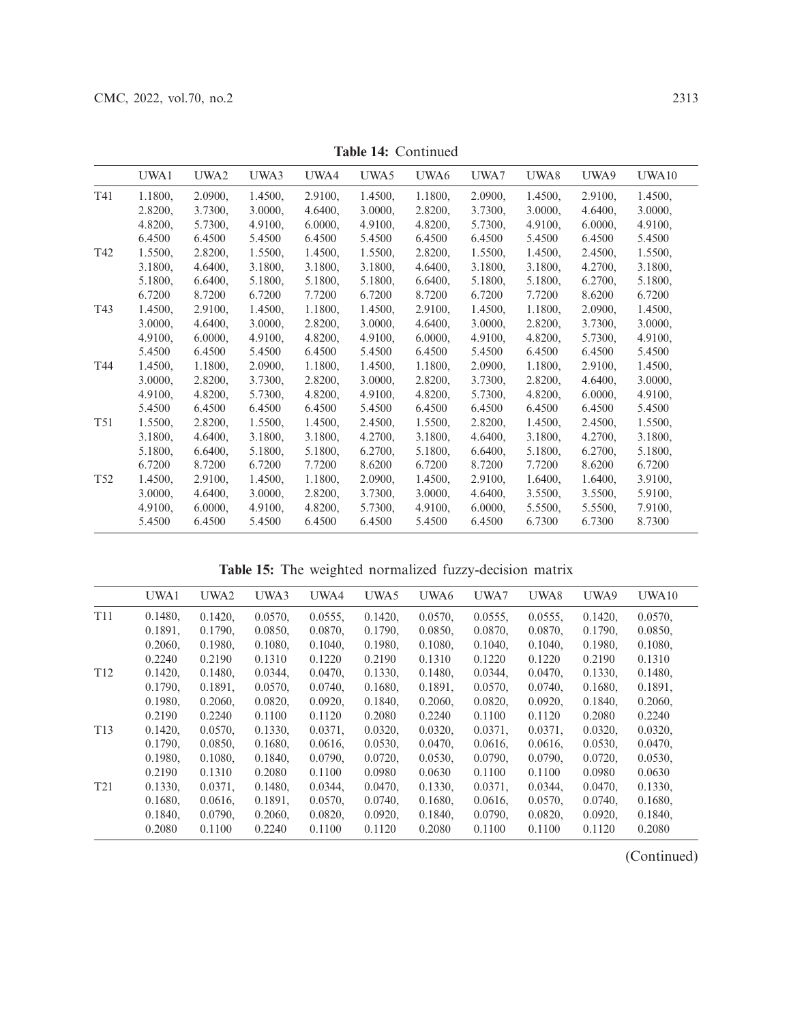|                 | UWA1    | UWA2    | UWA3    | UWA4    | UWA5    | UWA6    | UWA7    | UWA8    | UWA9    | UWA10   |
|-----------------|---------|---------|---------|---------|---------|---------|---------|---------|---------|---------|
| T41             | 1.1800, | 2.0900, | 1.4500, | 2.9100, | 1.4500, | 1.1800, | 2.0900, | 1.4500, | 2.9100, | 1.4500, |
|                 | 2.8200, | 3.7300, | 3.0000, | 4.6400, | 3.0000, | 2.8200, | 3.7300, | 3.0000, | 4.6400. | 3.0000, |
|                 | 4.8200, | 5.7300, | 4.9100, | 6.0000, | 4.9100, | 4.8200, | 5.7300, | 4.9100, | 6.0000, | 4.9100, |
|                 | 6.4500  | 6.4500  | 5.4500  | 6.4500  | 5.4500  | 6.4500  | 6.4500  | 5.4500  | 6.4500  | 5.4500  |
| T42             | 1.5500, | 2.8200, | 1.5500, | 1.4500, | 1.5500, | 2.8200, | 1.5500, | 1.4500, | 2.4500, | 1.5500, |
|                 | 3.1800, | 4.6400, | 3.1800, | 3.1800, | 3.1800, | 4.6400, | 3.1800, | 3.1800, | 4.2700, | 3.1800, |
|                 | 5.1800, | 6.6400, | 5.1800, | 5.1800, | 5.1800, | 6.6400, | 5.1800, | 5.1800, | 6.2700, | 5.1800, |
|                 | 6.7200  | 8.7200  | 6.7200  | 7.7200  | 6.7200  | 8.7200  | 6.7200  | 7.7200  | 8.6200  | 6.7200  |
| T43             | 1.4500, | 2.9100, | 1.4500, | 1.1800, | 1.4500, | 2.9100, | 1.4500, | 1.1800, | 2.0900, | 1.4500, |
|                 | 3.0000, | 4.6400, | 3.0000, | 2.8200, | 3.0000, | 4.6400, | 3.0000, | 2.8200, | 3.7300, | 3.0000, |
|                 | 4.9100, | 6.0000, | 4.9100, | 4.8200, | 4.9100, | 6.0000, | 4.9100, | 4.8200, | 5.7300, | 4.9100, |
|                 | 5.4500  | 6.4500  | 5.4500  | 6.4500  | 5.4500  | 6.4500  | 5.4500  | 6.4500  | 6.4500  | 5.4500  |
| T44             | 1.4500, | 1.1800, | 2.0900, | 1.1800, | 1.4500, | 1.1800, | 2.0900, | 1.1800, | 2.9100, | 1.4500, |
|                 | 3.0000, | 2.8200, | 3.7300, | 2.8200, | 3.0000, | 2.8200, | 3.7300, | 2.8200, | 4.6400, | 3.0000, |
|                 | 4.9100, | 4.8200, | 5.7300, | 4.8200, | 4.9100, | 4.8200, | 5.7300, | 4.8200, | 6.0000, | 4.9100, |
|                 | 5.4500  | 6.4500  | 6.4500  | 6.4500  | 5.4500  | 6.4500  | 6.4500  | 6.4500  | 6.4500  | 5.4500  |
| T <sub>51</sub> | 1.5500, | 2.8200, | 1.5500, | 1.4500, | 2.4500, | 1.5500, | 2.8200, | 1.4500, | 2.4500, | 1.5500, |
|                 | 3.1800, | 4.6400, | 3.1800, | 3.1800, | 4.2700, | 3.1800, | 4.6400, | 3.1800, | 4.2700, | 3.1800, |
|                 | 5.1800, | 6.6400, | 5.1800, | 5.1800, | 6.2700, | 5.1800, | 6.6400, | 5.1800, | 6.2700, | 5.1800, |
|                 | 6.7200  | 8.7200  | 6.7200  | 7.7200  | 8.6200  | 6.7200  | 8.7200  | 7.7200  | 8.6200  | 6.7200  |
| T <sub>52</sub> | 1.4500, | 2.9100, | 1.4500, | 1.1800, | 2.0900, | 1.4500, | 2.9100, | 1.6400, | 1.6400, | 3.9100, |
|                 | 3.0000, | 4.6400, | 3.0000, | 2.8200, | 3.7300, | 3.0000, | 4.6400, | 3.5500, | 3.5500, | 5.9100, |
|                 | 4.9100, | 6.0000. | 4.9100, | 4.8200, | 5.7300, | 4.9100, | 6.0000, | 5.5500, | 5.5500, | 7.9100, |
|                 | 5.4500  | 6.4500  | 5.4500  | 6.4500  | 6.4500  | 5.4500  | 6.4500  | 6.7300  | 6.7300  | 8.7300  |
|                 |         |         |         |         |         |         |         |         |         |         |

**Table 14:** Continued

**Table 15:** The weighted normalized fuzzy-decision matrix

<span id="page-16-0"></span>

|                 | UWA1    | UWA <sub>2</sub> | UWA3    | UWA4       | UWA5       | UWA6    | UWA7       | UWA8       | UWA9       | <b>UWA10</b> |  |
|-----------------|---------|------------------|---------|------------|------------|---------|------------|------------|------------|--------------|--|
| T <sub>11</sub> | 0.1480. | 0.1420,          | 0.0570. | $0.0555$ , | 0.1420,    | 0.0570, | $0.0555$ . | $0.0555$ , | 0.1420.    | 0.0570,      |  |
|                 | 0.1891. | 0.1790.          | 0.0850, | 0.0870.    | 0.1790.    | 0.0850. | 0.0870.    | 0.0870.    | 0.1790.    | 0.0850.      |  |
|                 | 0.2060, | 0.1980,          | 0.1080, | 0.1040,    | 0.1980,    | 0.1080, | 0.1040,    | 0.1040,    | 0.1980,    | 0.1080.      |  |
|                 | 0.2240  | 0.2190           | 0.1310  | 0.1220     | 0.2190     | 0.1310  | 0.1220     | 0.1220     | 0.2190     | 0.1310       |  |
| T <sub>12</sub> | 0.1420, | 0.1480.          | 0.0344, | 0.0470.    | 0.1330.    | 0.1480. | $0.0344$ , | 0.0470,    | 0.1330.    | 0.1480,      |  |
|                 | 0.1790, | 0.1891,          | 0.0570, | 0.0740.    | 0.1680.    | 0.1891, | 0.0570.    | 0.0740.    | 0.1680.    | 0.1891.      |  |
|                 | 0.1980, | 0.2060.          | 0.0820, | 0.0920,    | 0.1840,    | 0.2060, | 0.0820.    | 0.0920,    | 0.1840,    | 0.2060,      |  |
|                 | 0.2190  | 0.2240           | 0.1100  | 0.1120     | 0.2080     | 0.2240  | 0.1100     | 0.1120     | 0.2080     | 0.2240       |  |
| T <sub>13</sub> | 0.1420, | 0.0570,          | 0.1330, | 0.0371,    | 0.0320,    | 0.0320, | 0.0371,    | $0.0371$ , | 0.0320,    | 0.0320,      |  |
|                 | 0.1790. | 0.0850.          | 0.1680. | $0.0616$ , | $0.0530$ , | 0.0470. | 0.0616.    | $0.0616$ , | $0.0530$ , | 0.0470.      |  |
|                 | 0.1980, | 0.1080,          | 0.1840, | 0.0790.    | $0.0720$ , | 0.0530, | 0.0790.    | 0.0790.    | $0.0720$ , | 0.0530.      |  |
|                 | 0.2190  | 0.1310           | 0.2080  | 0.1100     | 0.0980     | 0.0630  | 0.1100     | 0.1100     | 0.0980     | 0.0630       |  |
| T <sub>21</sub> | 0.1330, | $0.0371$ ,       | 0.1480, | $0.0344$ , | 0.0470.    | 0.1330, | 0.0371,    | 0.0344,    | 0.0470.    | 0.1330,      |  |
|                 | 0.1680. | $0.0616$ ,       | 0.1891, | $0.0570$ , | 0.0740.    | 0.1680. | $0.0616$ , | 0.0570.    | 0.0740.    | 0.1680.      |  |
|                 | 0.1840. | 0.0790.          | 0.2060, | 0.0820.    | 0.0920.    | 0.1840. | 0.0790.    | 0.0820,    | 0.0920.    | 0.1840,      |  |
|                 | 0.2080  | 0.1100           | 0.2240  | 0.1100     | 0.1120     | 0.2080  | 0.1100     | 0.1100     | 0.1120     | 0.2080       |  |
|                 |         |                  |         |            |            |         |            |            |            |              |  |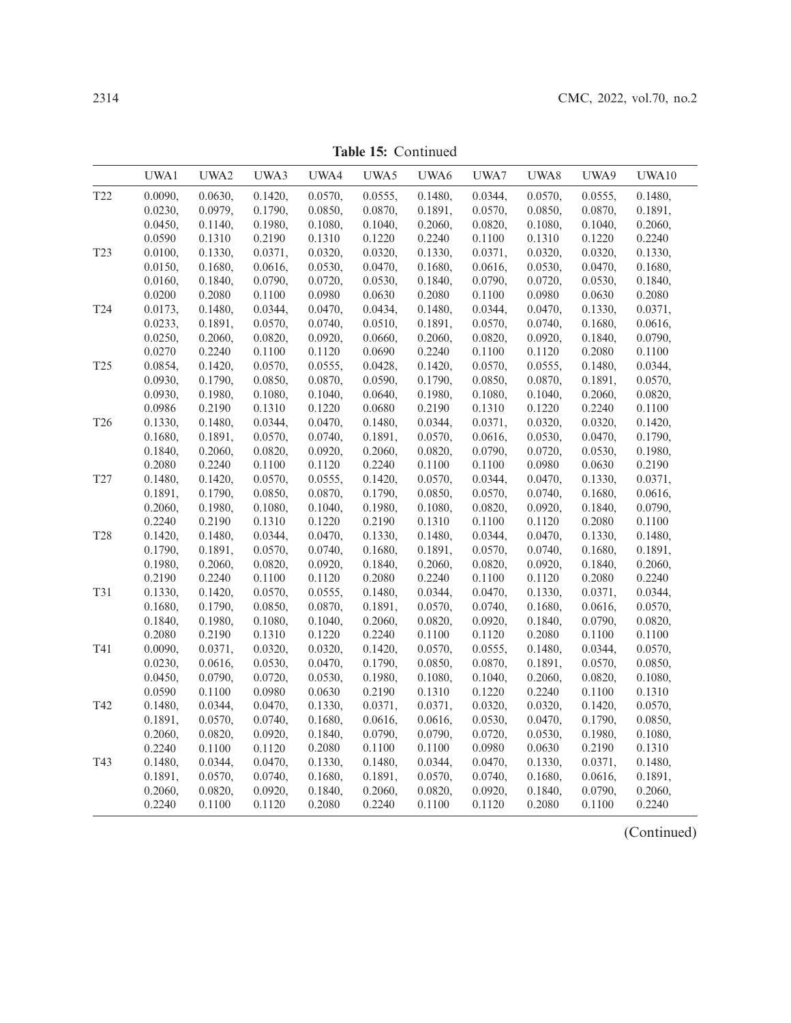**Table 15:** Continued

|                 | UWA1    | UWA2       | UWA3    | UWA4    | UWA5    | UWA6    | UWA7       | UWA8    | UWA9    | UWA10      |
|-----------------|---------|------------|---------|---------|---------|---------|------------|---------|---------|------------|
| T <sub>22</sub> | 0.0090, | 0.0630,    | 0.1420, | 0.0570, | 0.0555, | 0.1480, | 0.0344,    | 0.0570, | 0.0555, | 0.1480,    |
|                 | 0.0230, | 0.0979,    | 0.1790, | 0.0850, | 0.0870, | 0.1891, | 0.0570,    | 0.0850, | 0.0870, | 0.1891,    |
|                 | 0.0450, | 0.1140,    | 0.1980, | 0.1080, | 0.1040, | 0.2060, | 0.0820,    | 0.1080, | 0.1040, | 0.2060,    |
|                 | 0.0590  | 0.1310     | 0.2190  | 0.1310  | 0.1220  | 0.2240  | $0.1100\,$ | 0.1310  | 0.1220  | 0.2240     |
| T <sub>23</sub> | 0.0100, | 0.1330,    | 0.0371, | 0.0320, | 0.0320, | 0.1330, | 0.0371,    | 0.0320, | 0.0320, | 0.1330,    |
|                 | 0.0150, | 0.1680,    | 0.0616, | 0.0530, | 0.0470, | 0.1680, | 0.0616,    | 0.0530, | 0.0470, | 0.1680,    |
|                 | 0.0160, | 0.1840,    | 0.0790, | 0.0720, | 0.0530, | 0.1840, | 0.0790,    | 0.0720, | 0.0530, | 0.1840,    |
|                 | 0.0200  | 0.2080     | 0.1100  | 0.0980  | 0.0630  | 0.2080  | 0.1100     | 0.0980  | 0.0630  | 0.2080     |
| T24             | 0.0173, | 0.1480,    | 0.0344, | 0.0470, | 0.0434, | 0.1480, | 0.0344,    | 0.0470, | 0.1330, | 0.0371,    |
|                 | 0.0233, | 0.1891,    | 0.0570, | 0.0740, | 0.0510, | 0.1891, | 0.0570,    | 0.0740, | 0.1680, | 0.0616,    |
|                 | 0.0250, | 0.2060,    | 0.0820, | 0.0920, | 0.0660, | 0.2060, | 0.0820,    | 0.0920, | 0.1840, | 0.0790,    |
|                 | 0.0270  | 0.2240     | 0.1100  | 0.1120  | 0.0690  | 0.2240  | 0.1100     | 0.1120  | 0.2080  | 0.1100     |
| T <sub>25</sub> | 0.0854, | 0.1420,    | 0.0570, | 0.0555, | 0.0428, | 0.1420, | 0.0570,    | 0.0555, | 0.1480, | 0.0344,    |
|                 | 0.0930, | 0.1790,    | 0.0850, | 0.0870, | 0.0590, | 0.1790, | 0.0850,    | 0.0870, | 0.1891, | 0.0570,    |
|                 | 0.0930, | 0.1980,    | 0.1080, | 0.1040, | 0.0640, | 0.1980, | 0.1080,    | 0.1040, | 0.2060, | 0.0820,    |
|                 | 0.0986  | 0.2190     | 0.1310  | 0.1220  | 0.0680  | 0.2190  | 0.1310     | 0.1220  | 0.2240  | 0.1100     |
| T <sub>26</sub> | 0.1330, | 0.1480,    | 0.0344, | 0.0470, | 0.1480, | 0.0344, | 0.0371,    | 0.0320, | 0.0320, | 0.1420,    |
|                 | 0.1680, | 0.1891,    | 0.0570, | 0.0740, | 0.1891, | 0.0570, | 0.0616,    | 0.0530, | 0.0470, | 0.1790,    |
|                 | 0.1840, | 0.2060,    | 0.0820, | 0.0920, | 0.2060, | 0.0820, | 0.0790,    | 0.0720, | 0.0530, | 0.1980,    |
|                 | 0.2080  | 0.2240     | 0.1100  | 0.1120  | 0.2240  | 0.1100  | 0.1100     | 0.0980  | 0.0630  | 0.2190     |
| T <sub>27</sub> | 0.1480, | 0.1420,    | 0.0570, | 0.0555, | 0.1420, | 0.0570, | 0.0344,    | 0.0470, | 0.1330, | 0.0371,    |
|                 | 0.1891, | 0.1790,    | 0.0850, | 0.0870, | 0.1790, | 0.0850, | 0.0570,    | 0.0740, | 0.1680, | $0.0616$ , |
|                 | 0.2060, | 0.1980,    | 0.1080, | 0.1040, | 0.1980, | 0.1080, | 0.0820,    | 0.0920, | 0.1840, | 0.0790,    |
|                 | 0.2240  | 0.2190     | 0.1310  | 0.1220  | 0.2190  | 0.1310  | 0.1100     | 0.1120  | 0.2080  | 0.1100     |
| <b>T28</b>      | 0.1420, | 0.1480,    | 0.0344, | 0.0470, | 0.1330, | 0.1480, | 0.0344,    | 0.0470, | 0.1330, | 0.1480,    |
|                 | 0.1790, | 0.1891,    | 0.0570, | 0.0740, | 0.1680, | 0.1891, | 0.0570,    | 0.0740, | 0.1680, | 0.1891,    |
|                 | 0.1980, | 0.2060,    | 0.0820, | 0.0920, | 0.1840, | 0.2060, | 0.0820,    | 0.0920, | 0.1840, | 0.2060,    |
|                 | 0.2190  | 0.2240     | 0.1100  | 0.1120  | 0.2080  | 0.2240  | 0.1100     | 0.1120  | 0.2080  | 0.2240     |
| T31             | 0.1330, | 0.1420,    | 0.0570, | 0.0555, | 0.1480, | 0.0344, | 0.0470,    | 0.1330, | 0.0371, | 0.0344,    |
|                 | 0.1680, | 0.1790,    | 0.0850, | 0.0870, | 0.1891, | 0.0570, | 0.0740,    | 0.1680, | 0.0616, | 0.0570,    |
|                 | 0.1840, | 0.1980,    | 0.1080, | 0.1040, | 0.2060, | 0.0820, | 0.0920,    | 0.1840, | 0.0790, | 0.0820,    |
|                 | 0.2080  | 0.2190     | 0.1310  | 0.1220  | 0.2240  | 0.1100  | 0.1120     | 0.2080  | 0.1100  | 0.1100     |
| T41             | 0.0090, | 0.0371,    | 0.0320, | 0.0320, | 0.1420, | 0.0570, | 0.0555,    | 0.1480, | 0.0344, | 0.0570,    |
|                 | 0.0230, | $0.0616$ , | 0.0530, | 0.0470, | 0.1790, | 0.0850, | 0.0870,    | 0.1891, | 0.0570, | 0.0850,    |
|                 | 0.0450, | 0.0790,    | 0.0720, | 0.0530, | 0.1980, | 0.1080, | 0.1040,    | 0.2060, | 0.0820, | 0.1080,    |
|                 | 0.0590  | 0.1100     | 0.0980  | 0.0630  | 0.2190  | 0.1310  | 0.1220     | 0.2240  | 0.1100  | 0.1310     |
| T42             | 0.1480, | 0.0344,    | 0.0470, | 0.1330, | 0.0371, | 0.0371, | 0.0320,    | 0.0320, | 0.1420, | 0.0570,    |
|                 | 0.1891, | 0.0570,    | 0.0740, | 0.1680, | 0.0616, | 0.0616, | 0.0530,    | 0.0470, | 0.1790, | 0.0850,    |
|                 | 0.2060, | 0.0820,    | 0.0920, | 0.1840, | 0.0790, | 0.0790, | 0.0720,    | 0.0530, | 0.1980, | 0.1080,    |
|                 | 0.2240  | 0.1100     | 0.1120  | 0.2080  | 0.1100  | 0.1100  | 0.0980     | 0.0630  | 0.2190  | 0.1310     |
| T43             | 0.1480, | 0.0344,    | 0.0470, | 0.1330, | 0.1480, | 0.0344, | 0.0470,    | 0.1330, | 0.0371, | 0.1480,    |
|                 | 0.1891, | 0.0570,    | 0.0740, | 0.1680, | 0.1891, | 0.0570, | 0.0740,    | 0.1680, | 0.0616, | 0.1891,    |
|                 | 0.2060, | 0.0820,    | 0.0920, | 0.1840, | 0.2060, | 0.0820, | 0.0920,    | 0.1840, | 0.0790, | 0.2060,    |
|                 | 0.2240  | 0.1100     | 0.1120  | 0.2080  | 0.2240  | 0.1100  | 0.1120     | 0.2080  | 0.1100  | 0.2240     |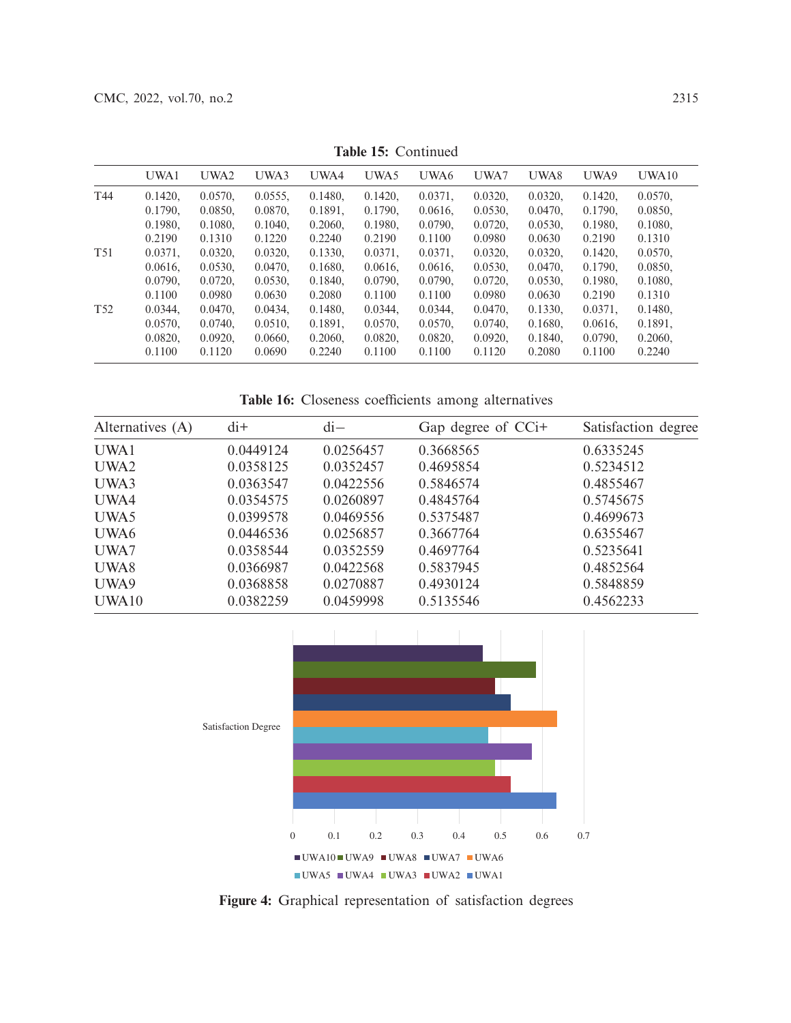| UWA1    | UWA2       | UWA3       | UWA4    | UWA5       | UWA6       | UWA7       | UWA8    | UWA9    | UWA10   |
|---------|------------|------------|---------|------------|------------|------------|---------|---------|---------|
| 0.1420. | 0.0570.    | $0.0555$ . | 0.1480. | 0.1420,    | 0.0371.    | 0.0320.    | 0.0320, | 0.1420. | 0.0570. |
| 0.1790. | 0.0850.    | 0.0870.    | 0.1891, | 0.1790,    | 0.0616.    | 0.0530,    | 0.0470. | 0.1790. | 0.0850. |
| 0.1980. | 0.1080,    | 0.1040.    | 0.2060, | 0.1980,    | 0.0790.    | 0.0720.    | 0.0530, | 0.1980. | 0.1080. |
| 0.2190  | 0.1310     | 0.1220     | 0.2240  | 0.2190     | 0.1100     | 0.0980     | 0.0630  | 0.2190  | 0.1310  |
| 0.0371. | 0.0320,    | $0.0320$ , | 0.1330. | $0.0371$ , | 0.0371.    | 0.0320.    | 0.0320, | 0.1420, | 0.0570. |
| 0.0616. | $0.0530$ , | 0.0470,    | 0.1680. | $0.0616$ , | $0.0616$ , | $0.0530$ , | 0.0470. | 0.1790. | 0.0850. |
| 0.0790. | 0.0720.    | 0.0530.    | 0.1840. | 0.0790.    | 0.0790.    | 0.0720.    | 0.0530. | 0.1980. | 0.1080. |
| 0.1100  | 0.0980     | 0.0630     | 0.2080  | 0.1100     | 0.1100     | 0.0980     | 0.0630  | 0.2190  | 0.1310  |
| 0.0344. | 0.0470.    | 0.0434.    | 0.1480. | 0.0344.    | 0.0344.    | 0.0470.    | 0.1330. | 0.0371. | 0.1480. |
| 0.0570. | 0.0740.    | 0.0510.    | 0.1891. | 0.0570.    | 0.0570.    | 0.0740.    | 0.1680. | 0.0616. | 0.1891. |
| 0.0820, | 0.0920.    | 0.0660.    | 0.2060, | 0.0820,    | 0.0820,    | 0.0920,    | 0.1840, | 0.0790. | 0.2060. |
| 0.1100  | 0.1120     | 0.0690     | 0.2240  | 0.1100     | 0.1100     | 0.1120     | 0.2080  | 0.1100  | 0.2240  |
|         |            |            |         |            |            |            |         |         |         |

**Table 15:** Continued

**Table 16:** Closeness coefficients among alternatives

<span id="page-18-0"></span>

| Alternatives (A) | $di+$     | $di-$     | Gap degree of CCi+ | Satisfaction degree |
|------------------|-----------|-----------|--------------------|---------------------|
| UWA1             | 0.0449124 | 0.0256457 | 0.3668565          | 0.6335245           |
| UWA2             | 0.0358125 | 0.0352457 | 0.4695854          | 0.5234512           |
| UWA3             | 0.0363547 | 0.0422556 | 0.5846574          | 0.4855467           |
| UWA4             | 0.0354575 | 0.0260897 | 0.4845764          | 0.5745675           |
| UWA5             | 0.0399578 | 0.0469556 | 0.5375487          | 0.4699673           |
| UWA6             | 0.0446536 | 0.0256857 | 0.3667764          | 0.6355467           |
| UWA7             | 0.0358544 | 0.0352559 | 0.4697764          | 0.5235641           |
| UWA8             | 0.0366987 | 0.0422568 | 0.5837945          | 0.4852564           |
| UWA9             | 0.0368858 | 0.0270887 | 0.4930124          | 0.5848859           |
| UWA10            | 0.0382259 | 0.0459998 | 0.5135546          | 0.4562233           |



<span id="page-18-1"></span>**Figure 4:** Graphical representation of satisfaction degrees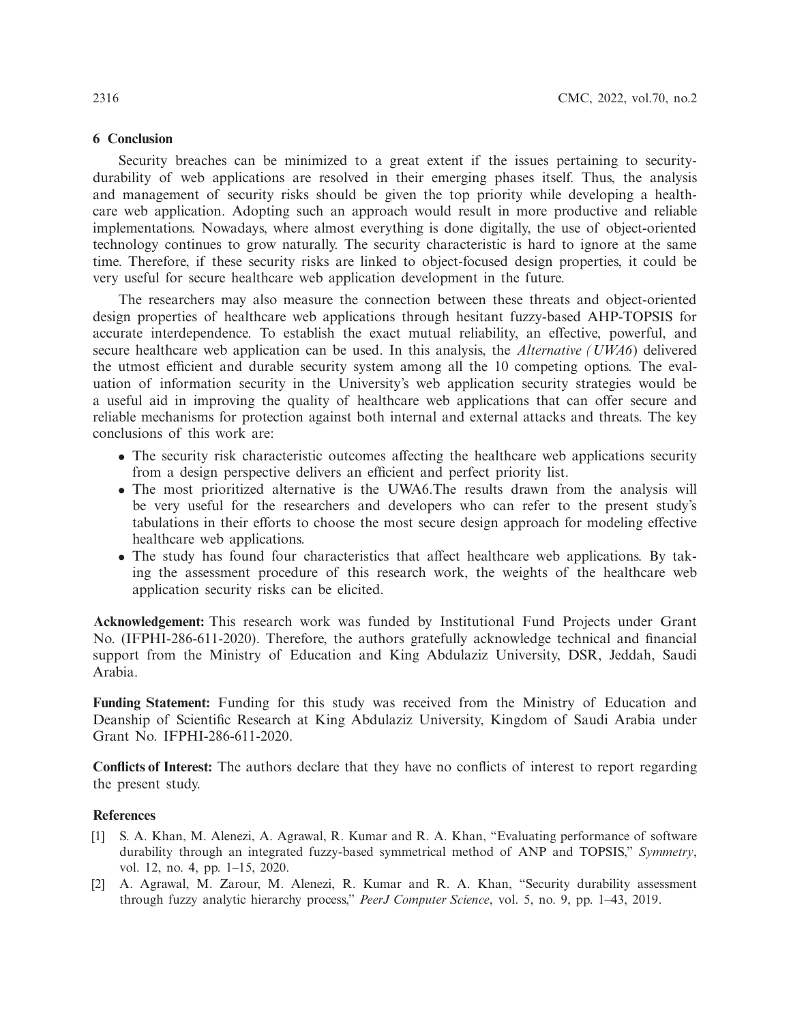## **6 Conclusion**

Security breaches can be minimized to a great extent if the issues pertaining to securitydurability of web applications are resolved in their emerging phases itself. Thus, the analysis and management of security risks should be given the top priority while developing a healthcare web application. Adopting such an approach would result in more productive and reliable implementations. Nowadays, where almost everything is done digitally, the use of object-oriented technology continues to grow naturally. The security characteristic is hard to ignore at the same time. Therefore, if these security risks are linked to object-focused design properties, it could be very useful for secure healthcare web application development in the future.

The researchers may also measure the connection between these threats and object-oriented design properties of healthcare web applications through hesitant fuzzy-based AHP-TOPSIS for accurate interdependence. To establish the exact mutual reliability, an effective, powerful, and secure healthcare web application can be used. In this analysis, the *Alternative (UWA6*) delivered the utmost efficient and durable security system among all the 10 competing options. The evaluation of information security in the University's web application security strategies would be a useful aid in improving the quality of healthcare web applications that can offer secure and reliable mechanisms for protection against both internal and external attacks and threats. The key conclusions of this work are:

- The security risk characteristic outcomes affecting the healthcare web applications security from a design perspective delivers an efficient and perfect priority list.
- The most prioritized alternative is the UWA6.The results drawn from the analysis will be very useful for the researchers and developers who can refer to the present study's tabulations in their efforts to choose the most secure design approach for modeling effective healthcare web applications.
- The study has found four characteristics that affect healthcare web applications. By taking the assessment procedure of this research work, the weights of the healthcare web application security risks can be elicited.

**Acknowledgement:** This research work was funded by Institutional Fund Projects under Grant No. (IFPHI-286-611-2020). Therefore, the authors gratefully acknowledge technical and financial support from the Ministry of Education and King Abdulaziz University, DSR, Jeddah, Saudi Arabia.

**Funding Statement:** Funding for this study was received from the Ministry of Education and Deanship of Scientific Research at King Abdulaziz University, Kingdom of Saudi Arabia under Grant No. IFPHI-286-611-2020.

**Conflicts of Interest:** The authors declare that they have no conflicts of interest to report regarding the present study.

### **References**

- <span id="page-19-0"></span>[1] S. A. Khan, M. Alenezi, A. Agrawal, R. Kumar and R. A. Khan, "Evaluating performance of software durability through an integrated fuzzy-based symmetrical method of ANP and TOPSIS," *Symmetry*, vol. 12, no. 4, pp. 1–15, 2020.
- [2] A. Agrawal, M. Zarour, M. Alenezi, R. Kumar and R. A. Khan, "Security durability assessment through fuzzy analytic hierarchy process," *PeerJ Computer Science*, vol. 5, no. 9, pp. 1–43, 2019.